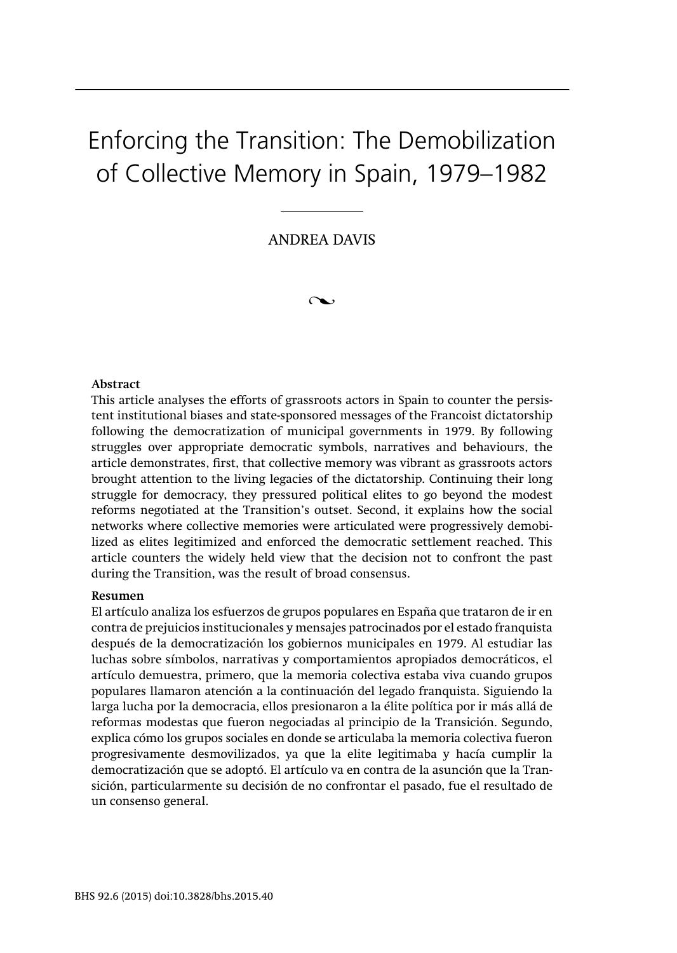# Enforcing the Transition: The Demobilization of Collective Memory in Spain, 1979–1982

# ANDREA DAVIS

 $\curvearrowright$ 

#### **Abstract**

This article analyses the efforts of grassroots actors in Spain to counter the persistent institutional biases and state-sponsored messages of the Francoist dictatorship following the democratization of municipal governments in 1979. By following struggles over appropriate democratic symbols, narratives and behaviours, the article demonstrates, frst, that collective memory was vibrant as grassroots actors brought attention to the living legacies of the dictatorship. Continuing their long struggle for democracy, they pressured political elites to go beyond the modest reforms negotiated at the Transition's outset. Second, it explains how the social networks where collective memories were articulated were progressively demobilized as elites legitimized and enforced the democratic settlement reached. This article counters the widely held view that the decision not to confront the past during the Transition, was the result of broad consensus.

#### **Resumen**

El artículo analiza los esfuerzos de grupos populares en España que trataron de ir en contra de prejuicios institucionales y mensajes patrocinados por el estado franquista después de la democratización los gobiernos municipales en 1979. Al estudiar las luchas sobre símbolos, narrativas y comportamientos apropiados democráticos, el artículo demuestra, primero, que la memoria colectiva estaba viva cuando grupos populares llamaron atención a la continuación del legado franquista. Siguiendo la larga lucha por la democracia, ellos presionaron a la élite política por ir más allá de reformas modestas que fueron negociadas al principio de la Transición. Segundo, explica cómo los grupos sociales en donde se articulaba la memoria colectiva fueron progresivamente desmovilizados, ya que la elite legitimaba y hacía cumplir la democratización que se adoptó. El artículo va en contra de la asunción que la Transición, particularmente su decisión de no confrontar el pasado, fue el resultado de un consenso general.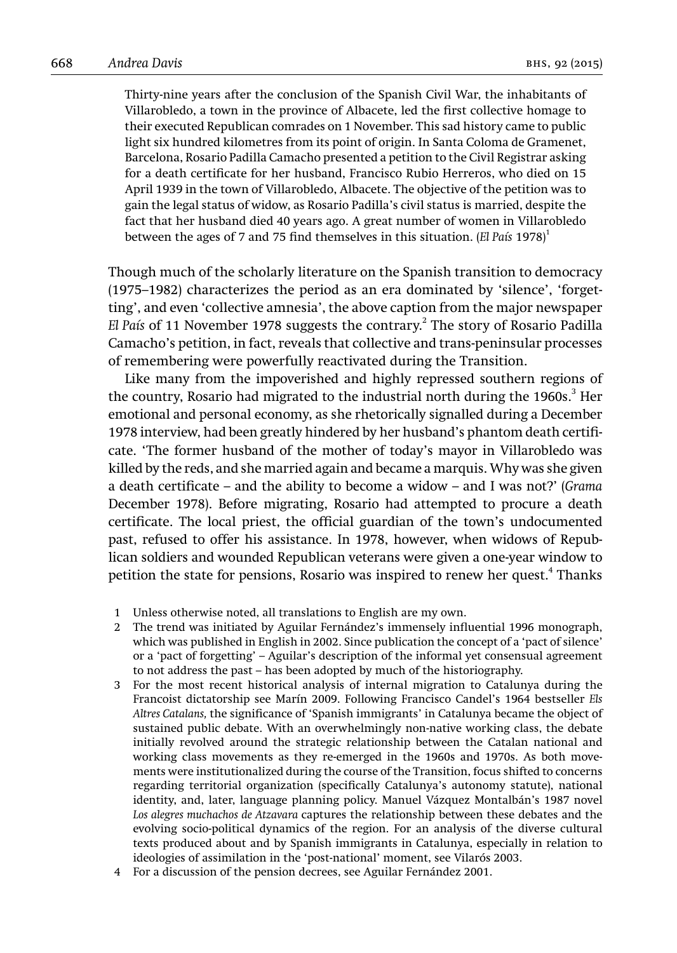Thirty-nine years after the conclusion of the Spanish Civil War, the inhabitants of Villarobledo, a town in the province of Albacete, led the frst collective homage to their executed Republican comrades on 1 November. This sad history came to public light six hundred kilometres from its point of origin. In Santa Coloma de Gramenet, Barcelona, Rosario Padilla Camacho presented a petition to the Civil Registrar asking for a death certifcate for her husband, Francisco Rubio Herreros, who died on 15 April 1939 in the town of Villarobledo, Albacete. The objective of the petition was to gain the legal status of widow, as Rosario Padilla's civil status is married, despite the fact that her husband died 40 years ago. A great number of women in Villarobledo between the ages of 7 and 75 find themselves in this situation. (*El País* 1978)<sup>1</sup>

Though much of the scholarly literature on the Spanish transition to democracy (1975–1982) characterizes the period as an era dominated by 'silence', 'forgetting', and even 'collective amnesia', the above caption from the major newspaper El País of 11 November 1978 suggests the contrary.<sup>2</sup> The story of Rosario Padilla Camacho's petition, in fact, reveals that collective and trans-peninsular processes of remembering were powerfully reactivated during the Transition.

Like many from the impoverished and highly repressed southern regions of the country, Rosario had migrated to the industrial north during the 1960s. $^3$  Her emotional and personal economy, as she rhetorically signalled during a December 1978 interview, had been greatly hindered by her husband's phantom death certifcate. 'The former husband of the mother of today's mayor in Villarobledo was killed by the reds, and she married again and became a marquis. Why was she given a death certifcate – and the ability to become a widow – and I was not?' (*Grama* December 1978). Before migrating, Rosario had attempted to procure a death certificate. The local priest, the official guardian of the town's undocumented past, refused to offer his assistance. In 1978, however, when widows of Republican soldiers and wounded Republican veterans were given a one-year window to petition the state for pensions, Rosario was inspired to renew her quest.<sup>4</sup> Thanks

- 1 Unless otherwise noted, all translations to English are my own.
- 2 The trend was initiated by Aguilar Fernández's immensely infuential 1996 monograph, which was published in English in 2002. Since publication the concept of a 'pact of silence' or a 'pact of forgetting' – Aguilar's description of the informal yet consensual agreement to not address the past – has been adopted by much of the historiography.
- 3 For the most recent historical analysis of internal migration to Catalunya during the Francoist dictatorship see Marín 2009. Following Francisco Candel's 1964 bestseller *Els Altres Catalans,* the signifcance of 'Spanish immigrants' in Catalunya became the object of sustained public debate. With an overwhelmingly non-native working class, the debate initially revolved around the strategic relationship between the Catalan national and working class movements as they re-emerged in the 1960s and 1970s. As both movements were institutionalized during the course of the Transition, focus shifted to concerns regarding territorial organization (specifcally Catalunya's autonomy statute), national identity, and, later, language planning policy. Manuel Vázquez Montalbán's 1987 novel *Los alegres muchachos de Atzavara* captures the relationship between these debates and the evolving socio-political dynamics of the region. For an analysis of the diverse cultural texts produced about and by Spanish immigrants in Catalunya, especially in relation to ideologies of assimilation in the 'post-national' moment, see Vilarós 2003.
- 4 For a discussion of the pension decrees, see Aguilar Fernández 2001.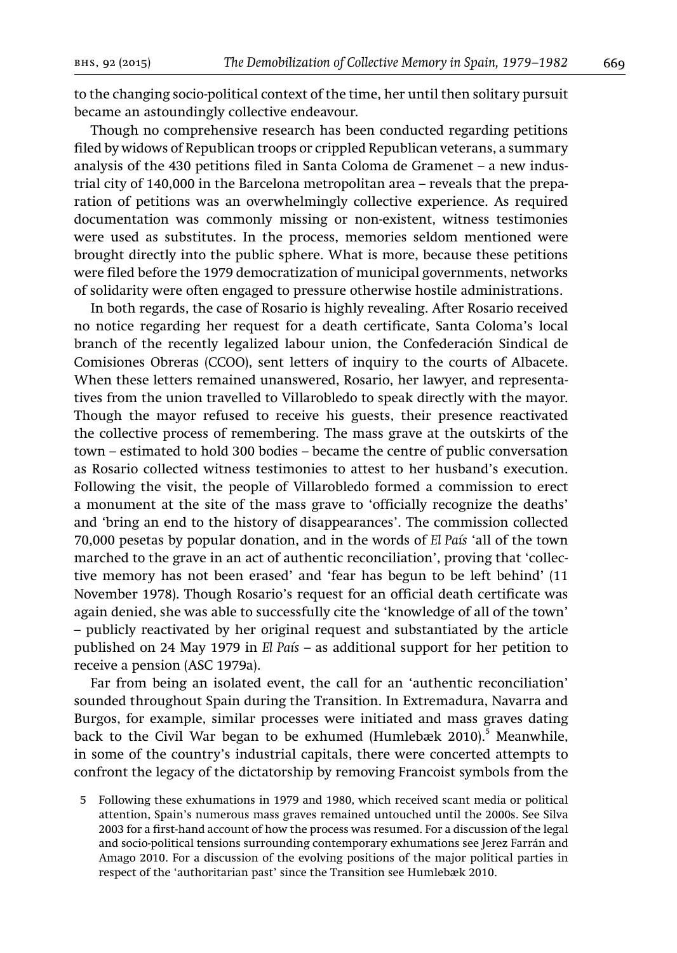to the changing socio-political context of the time, her until then solitary pursuit became an astoundingly collective endeavour.

Though no comprehensive research has been conducted regarding petitions fled by widows of Republican troops or crippled Republican veterans, a summary analysis of the 430 petitions fled in Santa Coloma de Gramenet – a new industrial city of 140,000 in the Barcelona metropolitan area – reveals that the preparation of petitions was an overwhelmingly collective experience. As required documentation was commonly missing or non-existent, witness testimonies were used as substitutes. In the process, memories seldom mentioned were brought directly into the public sphere. What is more, because these petitions were fled before the 1979 democratization of municipal governments, networks of solidarity were often engaged to pressure otherwise hostile administrations.

In both regards, the case of Rosario is highly revealing. After Rosario received no notice regarding her request for a death certifcate, Santa Coloma's local branch of the recently legalized labour union, the Confederación Sindical de Comisiones Obreras (CCOO), sent letters of inquiry to the courts of Albacete. When these letters remained unanswered, Rosario, her lawyer, and representatives from the union travelled to Villarobledo to speak directly with the mayor. Though the mayor refused to receive his guests, their presence reactivated the collective process of remembering. The mass grave at the outskirts of the town – estimated to hold 300 bodies – became the centre of public conversation as Rosario collected witness testimonies to attest to her husband's execution. Following the visit, the people of Villarobledo formed a commission to erect a monument at the site of the mass grave to 'offcially recognize the deaths' and 'bring an end to the history of disappearances'. The commission collected 70,000 pesetas by popular donation, and in the words of *El País* 'all of the town marched to the grave in an act of authentic reconciliation', proving that 'collective memory has not been erased' and 'fear has begun to be left behind' (11 November 1978). Though Rosario's request for an offcial death certifcate was again denied, she was able to successfully cite the 'knowledge of all of the town' – publicly reactivated by her original request and substantiated by the article published on 24 May 1979 in *El País* – as additional support for her petition to receive a pension (ASC 1979a).

Far from being an isolated event, the call for an 'authentic reconciliation' sounded throughout Spain during the Transition. In Extremadura, Navarra and Burgos, for example, similar processes were initiated and mass graves dating back to the Civil War began to be exhumed (Humlebæk 2010).<sup>5</sup> Meanwhile, in some of the country's industrial capitals, there were concerted attempts to confront the legacy of the dictatorship by removing Francoist symbols from the

5 Following these exhumations in 1979 and 1980, which received scant media or political attention, Spain's numerous mass graves remained untouched until the 2000s. See Silva 2003 for a frst-hand account of how the process was resumed. For a discussion of the legal and socio-political tensions surrounding contemporary exhumations see Jerez Farrán and Amago 2010. For a discussion of the evolving positions of the major political parties in respect of the 'authoritarian past' since the Transition see Humlebæk 2010.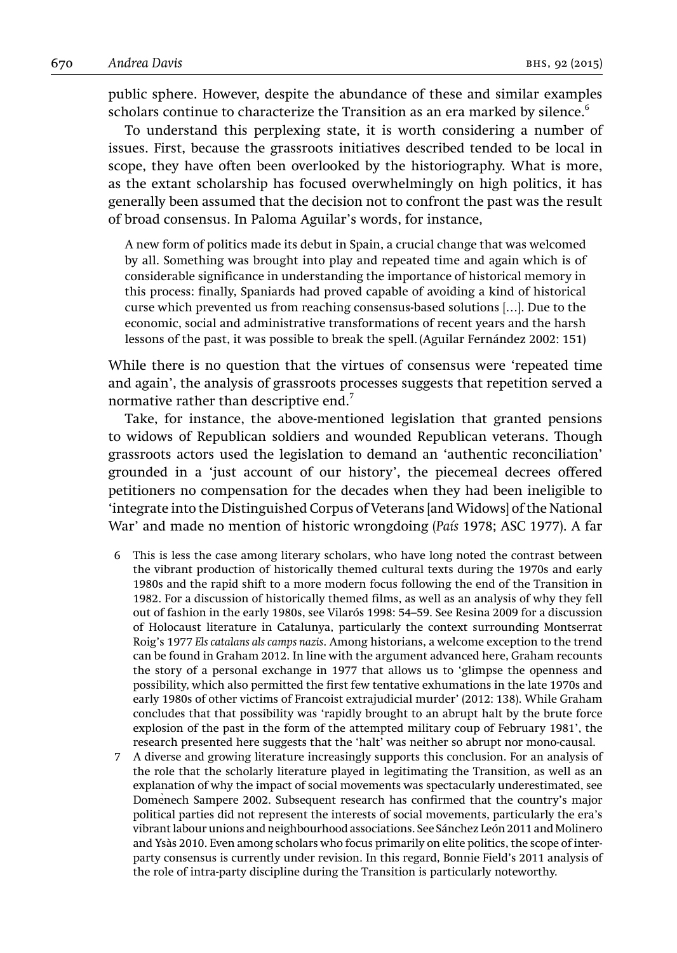public sphere. However, despite the abundance of these and similar examples scholars continue to characterize the Transition as an era marked by silence.<sup>6</sup>

To understand this perplexing state, it is worth considering a number of issues. First, because the grassroots initiatives described tended to be local in scope, they have often been overlooked by the historiography. What is more, as the extant scholarship has focused overwhelmingly on high politics, it has generally been assumed that the decision not to confront the past was the result of broad consensus. In Paloma Aguilar's words, for instance,

A new form of politics made its debut in Spain, a crucial change that was welcomed by all. Something was brought into play and repeated time and again which is of considerable signifcance in understanding the importance of historical memory in this process: fnally, Spaniards had proved capable of avoiding a kind of historical curse which prevented us from reaching consensus-based solutions […]. Due to the economic, social and administrative transformations of recent years and the harsh lessons of the past, it was possible to break the spell. (Aguilar Fernández 2002: 151)

While there is no question that the virtues of consensus were 'repeated time and again', the analysis of grassroots processes suggests that repetition served a normative rather than descriptive end.<sup>7</sup>

Take, for instance, the above-mentioned legislation that granted pensions to widows of Republican soldiers and wounded Republican veterans. Though grassroots actors used the legislation to demand an 'authentic reconciliation' grounded in a 'just account of our history', the piecemeal decrees offered petitioners no compensation for the decades when they had been ineligible to 'integrate into the Distinguished Corpus of Veterans [and Widows] of the National War' and made no mention of historic wrongdoing (*País* 1978; ASC 1977). A far

- 6 This is less the case among literary scholars, who have long noted the contrast between the vibrant production of historically themed cultural texts during the 1970s and early 1980s and the rapid shift to a more modern focus following the end of the Transition in 1982. For a discussion of historically themed flms, as well as an analysis of why they fell out of fashion in the early 1980s, see Vilarós 1998: 54–59. See Resina 2009 for a discussion of Holocaust literature in Catalunya, particularly the context surrounding Montserrat Roig's 1977 *Els catalans als camps nazis*. Among historians, a welcome exception to the trend can be found in Graham 2012. In line with the argument advanced here, Graham recounts the story of a personal exchange in 1977 that allows us to 'glimpse the openness and possibility, which also permitted the frst few tentative exhumations in the late 1970s and early 1980s of other victims of Francoist extrajudicial murder' (2012: 138). While Graham concludes that that possibility was 'rapidly brought to an abrupt halt by the brute force explosion of the past in the form of the attempted military coup of February 1981', the research presented here suggests that the 'halt' was neither so abrupt nor mono-causal.
- 7 A diverse and growing literature increasingly supports this conclusion. For an analysis of the role that the scholarly literature played in legitimating the Transition, as well as an explanation of why the impact of social movements was spectacularly underestimated, see Domenech Sampere 2002. Subsequent research has confrmed that the country's major ̀ political parties did not represent the interests of social movements, particularly the era's vibrant labour unions and neighbourhood associations. See Sánchez León 2011 and Molinero and Ysàs 2010. Even among scholars who focus primarily on elite politics, the scope of interparty consensus is currently under revision. In this regard, Bonnie Field's 2011 analysis of the role of intra-party discipline during the Transition is particularly noteworthy.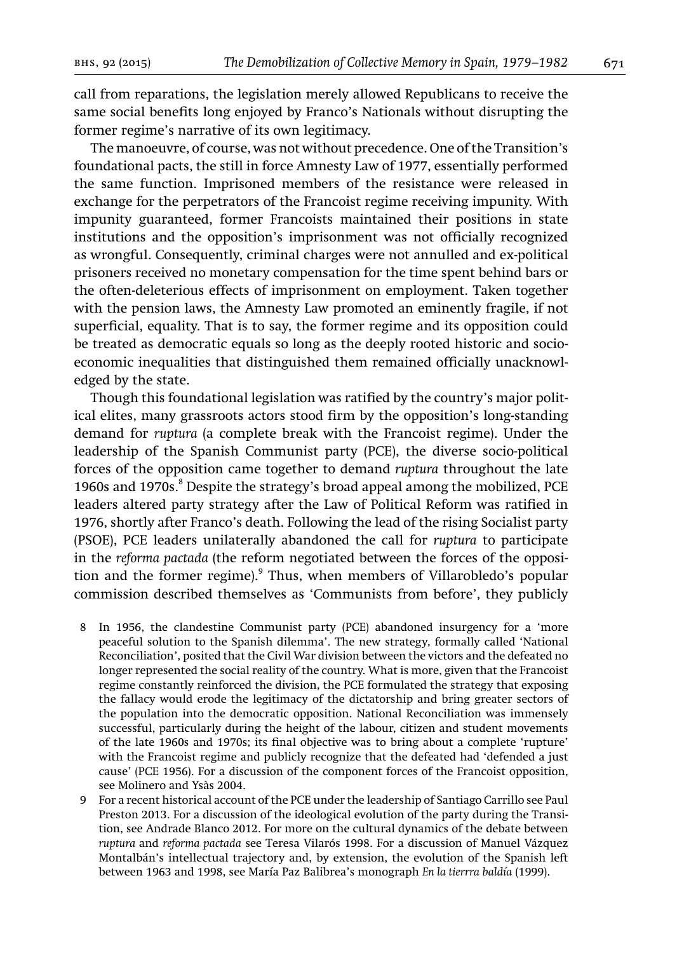call from reparations, the legislation merely allowed Republicans to receive the same social benefts long enjoyed by Franco's Nationals without disrupting the former regime's narrative of its own legitimacy.

The manoeuvre, of course, was not without precedence. One of the Transition's foundational pacts, the still in force Amnesty Law of 1977, essentially performed the same function. Imprisoned members of the resistance were released in exchange for the perpetrators of the Francoist regime receiving impunity. With impunity guaranteed, former Francoists maintained their positions in state institutions and the opposition's imprisonment was not offcially recognized as wrongful. Consequently, criminal charges were not annulled and ex-political prisoners received no monetary compensation for the time spent behind bars or the often-deleterious effects of imprisonment on employment. Taken together with the pension laws, the Amnesty Law promoted an eminently fragile, if not superfcial, equality. That is to say, the former regime and its opposition could be treated as democratic equals so long as the deeply rooted historic and socioeconomic inequalities that distinguished them remained offcially unacknowledged by the state.

Though this foundational legislation was ratifed by the country's major political elites, many grassroots actors stood frm by the opposition's long-standing demand for *ruptura* (a complete break with the Francoist regime). Under the leadership of the Spanish Communist party (PCE), the diverse socio-political forces of the opposition came together to demand *ruptura* throughout the late 1960s and 1970s.<sup>8</sup> Despite the strategy's broad appeal among the mobilized, PCE leaders altered party strategy after the Law of Political Reform was ratifed in 1976, shortly after Franco's death. Following the lead of the rising Socialist party (PSOE), PCE leaders unilaterally abandoned the call for *ruptura* to participate in the *reforma pactada* (the reform negotiated between the forces of the opposition and the former regime).<sup>9</sup> Thus, when members of Villarobledo's popular commission described themselves as 'Communists from before', they publicly

- 8 In 1956, the clandestine Communist party (PCE) abandoned insurgency for a 'more peaceful solution to the Spanish dilemma'. The new strategy, formally called 'National Reconciliation', posited that the Civil War division between the victors and the defeated no longer represented the social reality of the country. What is more, given that the Francoist regime constantly reinforced the division, the PCE formulated the strategy that exposing the fallacy would erode the legitimacy of the dictatorship and bring greater sectors of the population into the democratic opposition. National Reconciliation was immensely successful, particularly during the height of the labour, citizen and student movements of the late 1960s and 1970s; its fnal objective was to bring about a complete 'rupture' with the Francoist regime and publicly recognize that the defeated had 'defended a just cause' (PCE 1956). For a discussion of the component forces of the Francoist opposition, see Molinero and Ysàs 2004.
- 9 For a recent historical account of the PCE under the leadership of Santiago Carrillo see Paul Preston 2013. For a discussion of the ideological evolution of the party during the Transition, see Andrade Blanco 2012. For more on the cultural dynamics of the debate between *ruptura* and *reforma pactada* see Teresa Vilarós 1998. For a discussion of Manuel Vázquez Montalbán's intellectual trajectory and, by extension, the evolution of the Spanish left between 1963 and 1998, see María Paz Balibrea's monograph *En la tierrra baldía* (1999).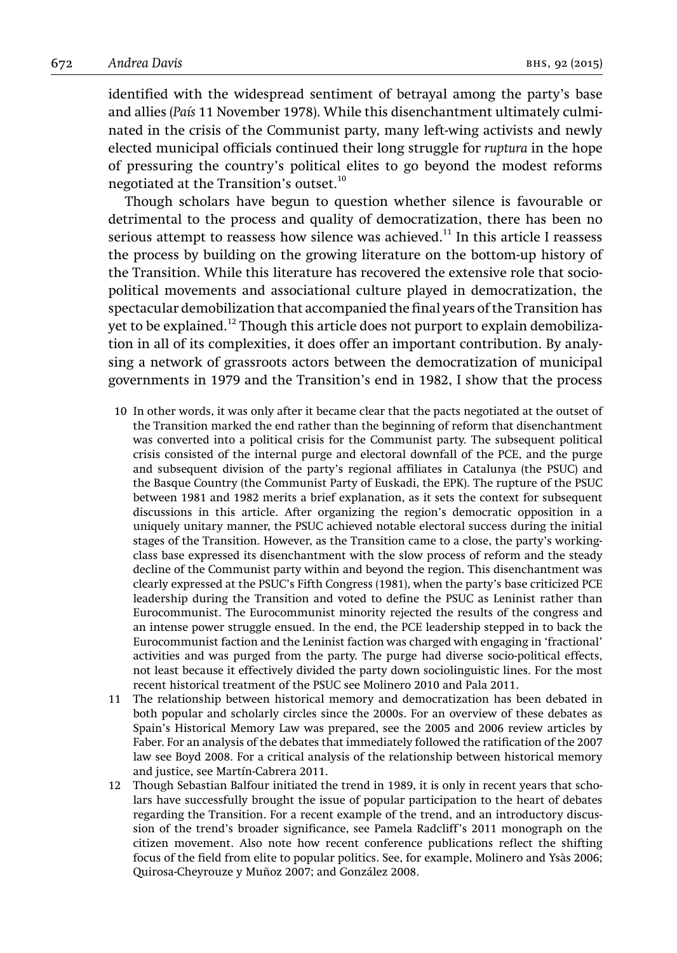identifed with the widespread sentiment of betrayal among the party's base and allies (*País* 11 November 1978). While this disenchantment ultimately culminated in the crisis of the Communist party, many left-wing activists and newly elected municipal offcials continued their long struggle for *ruptura* in the hope of pressuring the country's political elites to go beyond the modest reforms negotiated at the Transition's outset.<sup>10</sup>

Though scholars have begun to question whether silence is favourable or detrimental to the process and quality of democratization, there has been no serious attempt to reassess how silence was achieved.<sup>11</sup> In this article I reassess the process by building on the growing literature on the bottom-up history of the Transition. While this literature has recovered the extensive role that sociopolitical movements and associational culture played in democratization, the spectacular demobilization that accompanied the fnal years of the Transition has yet to be explained.<sup>12</sup> Though this article does not purport to explain demobilization in all of its complexities, it does offer an important contribution. By analysing a network of grassroots actors between the democratization of municipal governments in 1979 and the Transition's end in 1982, I show that the process

- 10 In other words, it was only after it became clear that the pacts negotiated at the outset of the Transition marked the end rather than the beginning of reform that disenchantment was converted into a political crisis for the Communist party. The subsequent political crisis consisted of the internal purge and electoral downfall of the PCE, and the purge and subsequent division of the party's regional affliates in Catalunya (the PSUC) and the Basque Country (the Communist Party of Euskadi, the EPK). The rupture of the PSUC between 1981 and 1982 merits a brief explanation, as it sets the context for subsequent discussions in this article. After organizing the region's democratic opposition in a uniquely unitary manner, the PSUC achieved notable electoral success during the initial stages of the Transition. However, as the Transition came to a close, the party's workingclass base expressed its disenchantment with the slow process of reform and the steady decline of the Communist party within and beyond the region. This disenchantment was clearly expressed at the PSUC's Fifth Congress (1981), when the party's base criticized PCE leadership during the Transition and voted to defne the PSUC as Leninist rather than Eurocommunist. The Eurocommunist minority rejected the results of the congress and an intense power struggle ensued. In the end, the PCE leadership stepped in to back the Eurocommunist faction and the Leninist faction was charged with engaging in 'fractional' activities and was purged from the party. The purge had diverse socio-political effects, not least because it effectively divided the party down sociolinguistic lines. For the most recent historical treatment of the PSUC see Molinero 2010 and Pala 2011.
- 11 The relationship between historical memory and democratization has been debated in both popular and scholarly circles since the 2000s. For an overview of these debates as Spain's Historical Memory Law was prepared, see the 2005 and 2006 review articles by Faber. For an analysis of the debates that immediately followed the ratifcation of the 2007 law see Boyd 2008. For a critical analysis of the relationship between historical memory and justice, see Martín-Cabrera 2011.
- 12 Though Sebastian Balfour initiated the trend in 1989, it is only in recent years that scholars have successfully brought the issue of popular participation to the heart of debates regarding the Transition. For a recent example of the trend, and an introductory discussion of the trend's broader signifcance, see Pamela Radcliff's 2011 monograph on the citizen movement. Also note how recent conference publications refect the shifting focus of the feld from elite to popular politics. See, for example, Molinero and Ysàs 2006; Quirosa-Cheyrouze y Muñoz 2007; and González 2008.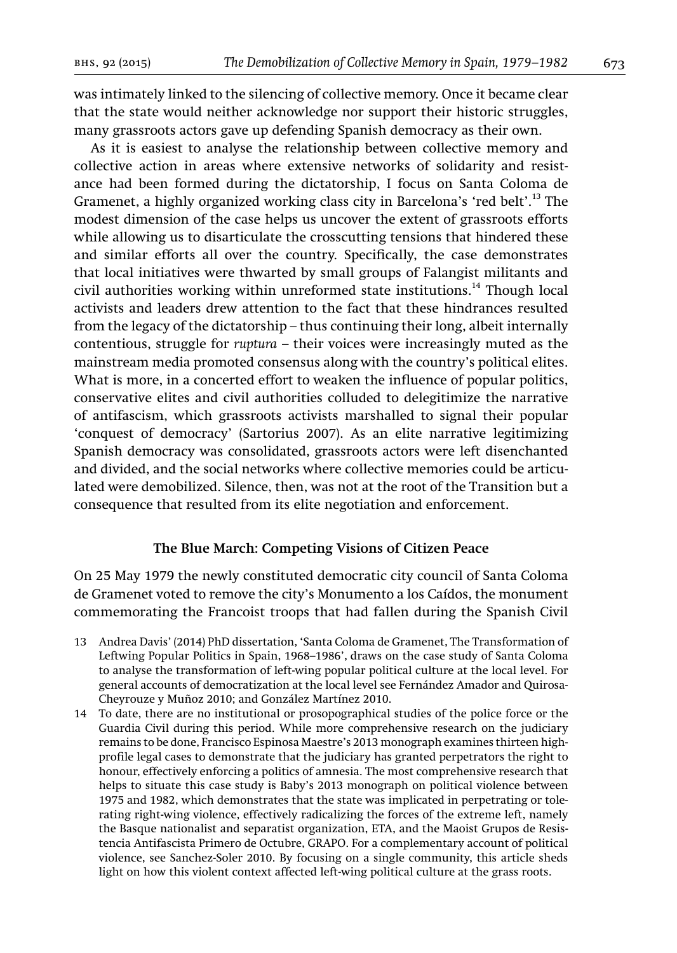was intimately linked to the silencing of collective memory. Once it became clear that the state would neither acknowledge nor support their historic struggles, many grassroots actors gave up defending Spanish democracy as their own.

As it is easiest to analyse the relationship between collective memory and collective action in areas where extensive networks of solidarity and resistance had been formed during the dictatorship, I focus on Santa Coloma de Gramenet, a highly organized working class city in Barcelona's 'red belt'.<sup>13</sup> The modest dimension of the case helps us uncover the extent of grassroots efforts while allowing us to disarticulate the crosscutting tensions that hindered these and similar efforts all over the country. Specifcally, the case demonstrates that local initiatives were thwarted by small groups of Falangist militants and civil authorities working within unreformed state institutions.<sup>14</sup> Though local activists and leaders drew attention to the fact that these hindrances resulted from the legacy of the dictatorship – thus continuing their long, albeit internally contentious, struggle for *ruptura* – their voices were increasingly muted as the mainstream media promoted consensus along with the country's political elites. What is more, in a concerted effort to weaken the infuence of popular politics, conservative elites and civil authorities colluded to delegitimize the narrative of antifascism, which grassroots activists marshalled to signal their popular 'conquest of democracy' (Sartorius 2007). As an elite narrative legitimizing Spanish democracy was consolidated, grassroots actors were left disenchanted and divided, and the social networks where collective memories could be articulated were demobilized. Silence, then, was not at the root of the Transition but a consequence that resulted from its elite negotiation and enforcement.

# **The Blue March: Competing Visions of Citizen Peace**

On 25 May 1979 the newly constituted democratic city council of Santa Coloma de Gramenet voted to remove the city's Monumento a los Caídos, the monument commemorating the Francoist troops that had fallen during the Spanish Civil

- 13 Andrea Davis' (2014) PhD dissertation, 'Santa Coloma de Gramenet, The Transformation of Leftwing Popular Politics in Spain, 1968–1986', draws on the case study of Santa Coloma to analyse the transformation of left-wing popular political culture at the local level. For general accounts of democratization at the local level see Fernández Amador and Quirosa-Cheyrouze y Muñoz 2010; and González Martínez 2010.
- 14 To date, there are no institutional or prosopographical studies of the police force or the Guardia Civil during this period. While more comprehensive research on the judiciary remains to be done, Francisco Espinosa Maestre's 2013 monograph examines thirteen highprofle legal cases to demonstrate that the judiciary has granted perpetrators the right to honour, effectively enforcing a politics of amnesia. The most comprehensive research that helps to situate this case study is Baby's 2013 monograph on political violence between 1975 and 1982, which demonstrates that the state was implicated in perpetrating or tolerating right-wing violence, effectively radicalizing the forces of the extreme left, namely the Basque nationalist and separatist organization, ETA, and the Maoist Grupos de Resistencia Antifascista Primero de Octubre, GRAPO. For a complementary account of political violence, see Sanchez-Soler 2010. By focusing on a single community, this article sheds light on how this violent context affected left-wing political culture at the grass roots.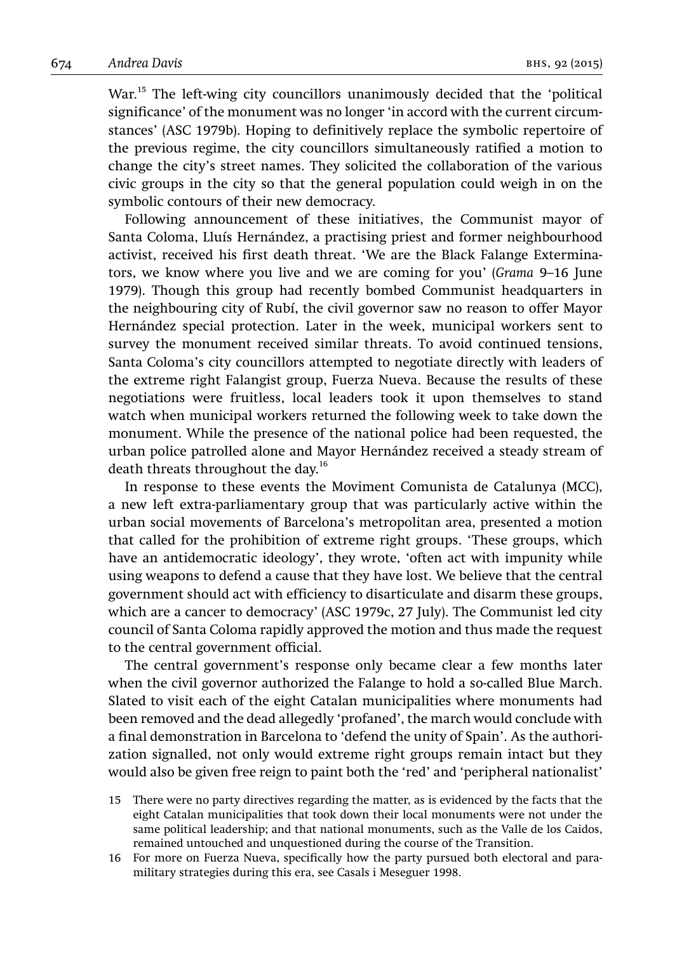War.<sup>15</sup> The left-wing city councillors unanimously decided that the 'political signifcance' of the monument was no longer 'in accord with the current circumstances' (ASC 1979b). Hoping to defnitively replace the symbolic repertoire of the previous regime, the city councillors simultaneously ratifed a motion to change the city's street names. They solicited the collaboration of the various civic groups in the city so that the general population could weigh in on the symbolic contours of their new democracy.

Following announcement of these initiatives, the Communist mayor of Santa Coloma, Lluís Hernández, a practising priest and former neighbourhood activist, received his frst death threat. 'We are the Black Falange Exterminators, we know where you live and we are coming for you' (*Grama* 9–16 June 1979). Though this group had recently bombed Communist headquarters in the neighbouring city of Rubí, the civil governor saw no reason to offer Mayor Hernández special protection. Later in the week, municipal workers sent to survey the monument received similar threats. To avoid continued tensions, Santa Coloma's city councillors attempted to negotiate directly with leaders of the extreme right Falangist group, Fuerza Nueva. Because the results of these negotiations were fruitless, local leaders took it upon themselves to stand watch when municipal workers returned the following week to take down the monument. While the presence of the national police had been requested, the urban police patrolled alone and Mayor Hernández received a steady stream of death threats throughout the day.<sup>16</sup>

In response to these events the Moviment Comunista de Catalunya (MCC), a new left extra-parliamentary group that was particularly active within the urban social movements of Barcelona's metropolitan area, presented a motion that called for the prohibition of extreme right groups. 'These groups, which have an antidemocratic ideology', they wrote, 'often act with impunity while using weapons to defend a cause that they have lost. We believe that the central government should act with effciency to disarticulate and disarm these groups, which are a cancer to democracy' (ASC 1979c, 27 July). The Communist led city council of Santa Coloma rapidly approved the motion and thus made the request to the central government official.

The central government's response only became clear a few months later when the civil governor authorized the Falange to hold a so-called Blue March. Slated to visit each of the eight Catalan municipalities where monuments had been removed and the dead allegedly 'profaned', the march would conclude with a fnal demonstration in Barcelona to 'defend the unity of Spain'. As the authorization signalled, not only would extreme right groups remain intact but they would also be given free reign to paint both the 'red' and 'peripheral nationalist'

- 15 There were no party directives regarding the matter, as is evidenced by the facts that the eight Catalan municipalities that took down their local monuments were not under the same political leadership; and that national monuments, such as the Valle de los Caidos, remained untouched and unquestioned during the course of the Transition.
- 16 For more on Fuerza Nueva, specifcally how the party pursued both electoral and paramilitary strategies during this era, see Casals i Meseguer 1998.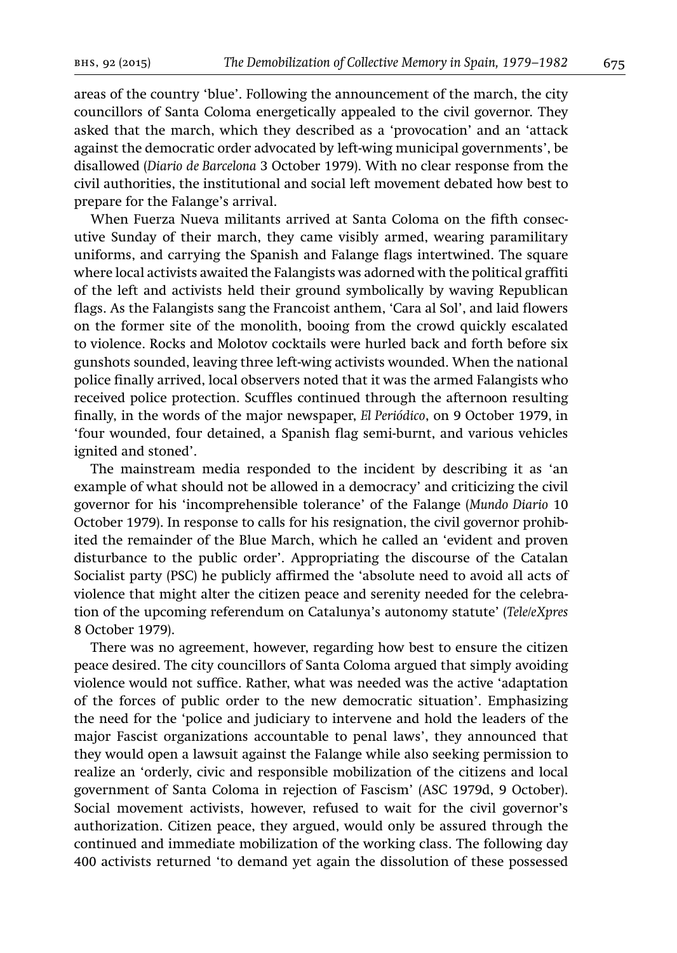areas of the country 'blue'. Following the announcement of the march, the city councillors of Santa Coloma energetically appealed to the civil governor. They asked that the march, which they described as a 'provocation' and an 'attack against the democratic order advocated by left-wing municipal governments', be disallowed (*Diario de Barcelona* 3 October 1979). With no clear response from the civil authorities, the institutional and social left movement debated how best to prepare for the Falange's arrival.

When Fuerza Nueva militants arrived at Santa Coloma on the ffth consecutive Sunday of their march, they came visibly armed, wearing paramilitary uniforms, and carrying the Spanish and Falange fags intertwined. The square where local activists awaited the Falangists was adorned with the political graffti of the left and activists held their ground symbolically by waving Republican fags. As the Falangists sang the Francoist anthem, 'Cara al Sol', and laid fowers on the former site of the monolith, booing from the crowd quickly escalated to violence. Rocks and Molotov cocktails were hurled back and forth before six gunshots sounded, leaving three left-wing activists wounded. When the national police fnally arrived, local observers noted that it was the armed Falangists who received police protection. Scuffes continued through the afternoon resulting fnally, in the words of the major newspaper, *El Periódico*, on 9 October 1979, in 'four wounded, four detained, a Spanish fag semi-burnt, and various vehicles ignited and stoned'.

The mainstream media responded to the incident by describing it as 'an example of what should not be allowed in a democracy' and criticizing the civil governor for his 'incomprehensible tolerance' of the Falange (*Mundo Diario* 10 October 1979). In response to calls for his resignation, the civil governor prohibited the remainder of the Blue March, which he called an 'evident and proven disturbance to the public order'. Appropriating the discourse of the Catalan Socialist party (PSC) he publicly affrmed the 'absolute need to avoid all acts of violence that might alter the citizen peace and serenity needed for the celebration of the upcoming referendum on Catalunya's autonomy statute' (*Tele/eXpres* 8 October 1979).

There was no agreement, however, regarding how best to ensure the citizen peace desired. The city councillors of Santa Coloma argued that simply avoiding violence would not suffce. Rather, what was needed was the active 'adaptation of the forces of public order to the new democratic situation'. Emphasizing the need for the 'police and judiciary to intervene and hold the leaders of the major Fascist organizations accountable to penal laws', they announced that they would open a lawsuit against the Falange while also seeking permission to realize an 'orderly, civic and responsible mobilization of the citizens and local government of Santa Coloma in rejection of Fascism' (ASC 1979d, 9 October). Social movement activists, however, refused to wait for the civil governor's authorization. Citizen peace, they argued, would only be assured through the continued and immediate mobilization of the working class. The following day 400 activists returned 'to demand yet again the dissolution of these possessed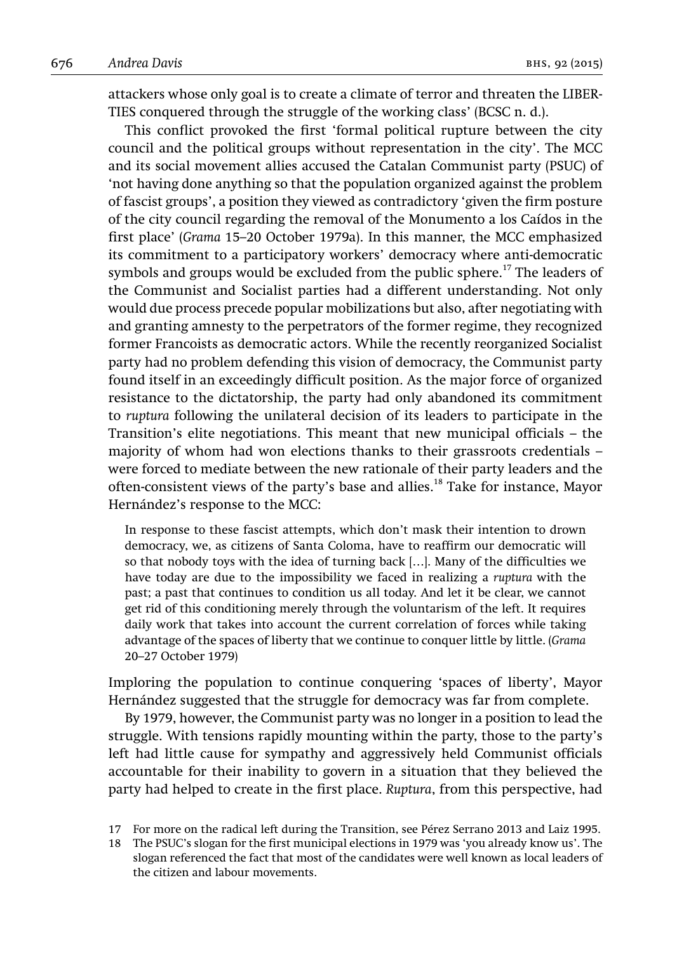attackers whose only goal is to create a climate of terror and threaten the LIBER-TIES conquered through the struggle of the working class' (BCSC n. d.).

This confict provoked the frst 'formal political rupture between the city council and the political groups without representation in the city'. The MCC and its social movement allies accused the Catalan Communist party (PSUC) of 'not having done anything so that the population organized against the problem of fascist groups', a position they viewed as contradictory 'given the frm posture of the city council regarding the removal of the Monumento a los Caídos in the frst place' (*Grama* 15–20 October 1979a). In this manner, the MCC emphasized its commitment to a participatory workers' democracy where anti-democratic symbols and groups would be excluded from the public sphere.<sup>17</sup> The leaders of the Communist and Socialist parties had a different understanding. Not only would due process precede popular mobilizations but also, after negotiating with and granting amnesty to the perpetrators of the former regime, they recognized former Francoists as democratic actors. While the recently reorganized Socialist party had no problem defending this vision of democracy, the Communist party found itself in an exceedingly diffcult position. As the major force of organized resistance to the dictatorship, the party had only abandoned its commitment to *ruptura* following the unilateral decision of its leaders to participate in the Transition's elite negotiations. This meant that new municipal officials  $-$  the majority of whom had won elections thanks to their grassroots credentials – were forced to mediate between the new rationale of their party leaders and the often-consistent views of the party's base and allies.<sup>18</sup> Take for instance, Mayor Hernández's response to the MCC:

In response to these fascist attempts, which don't mask their intention to drown democracy, we, as citizens of Santa Coloma, have to reaffrm our democratic will so that nobody toys with the idea of turning back […]. Many of the diffculties we have today are due to the impossibility we faced in realizing a *ruptura* with the past; a past that continues to condition us all today. And let it be clear, we cannot get rid of this conditioning merely through the voluntarism of the left. It requires daily work that takes into account the current correlation of forces while taking advantage of the spaces of liberty that we continue to conquer little by little. (*Grama*  20–27 October 1979)

Imploring the population to continue conquering 'spaces of liberty', Mayor Hernández suggested that the struggle for democracy was far from complete.

By 1979, however, the Communist party was no longer in a position to lead the struggle. With tensions rapidly mounting within the party, those to the party's left had little cause for sympathy and aggressively held Communist officials accountable for their inability to govern in a situation that they believed the party had helped to create in the frst place. *Ruptura*, from this perspective, had

<sup>17</sup> For more on the radical left during the Transition, see Pérez Serrano 2013 and Laiz 1995.

<sup>18</sup> The PSUC's slogan for the frst municipal elections in 1979 was 'you already know us'. The slogan referenced the fact that most of the candidates were well known as local leaders of the citizen and labour movements.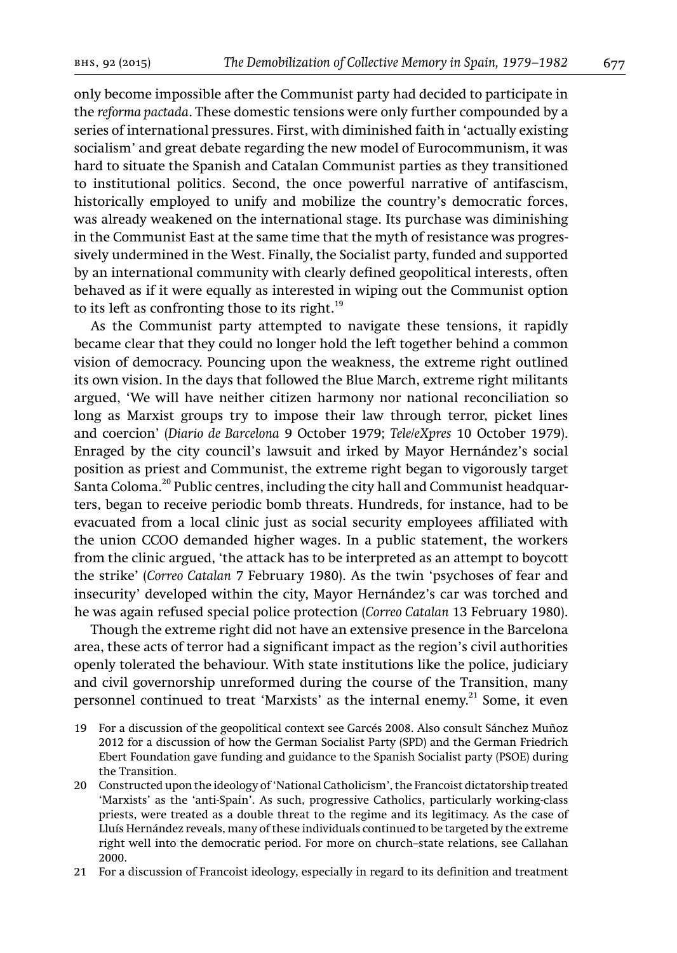only become impossible after the Communist party had decided to participate in the *reforma pactada*. These domestic tensions were only further compounded by a series of international pressures. First, with diminished faith in 'actually existing socialism' and great debate regarding the new model of Eurocommunism, it was hard to situate the Spanish and Catalan Communist parties as they transitioned to institutional politics. Second, the once powerful narrative of antifascism, historically employed to unify and mobilize the country's democratic forces, was already weakened on the international stage. Its purchase was diminishing in the Communist East at the same time that the myth of resistance was progressively undermined in the West. Finally, the Socialist party, funded and supported by an international community with clearly defned geopolitical interests, often behaved as if it were equally as interested in wiping out the Communist option to its left as confronting those to its right. $^{19}$ 

As the Communist party attempted to navigate these tensions, it rapidly became clear that they could no longer hold the left together behind a common vision of democracy. Pouncing upon the weakness, the extreme right outlined its own vision. In the days that followed the Blue March, extreme right militants argued, 'We will have neither citizen harmony nor national reconciliation so long as Marxist groups try to impose their law through terror, picket lines and coercion' (*Diario de Barcelona* 9 October 1979; *Tele/eXpres* 10 October 1979). Enraged by the city council's lawsuit and irked by Mayor Hernández's social position as priest and Communist, the extreme right began to vigorously target Santa Coloma.<sup>20</sup> Public centres, including the city hall and Communist headquarters, began to receive periodic bomb threats. Hundreds, for instance, had to be evacuated from a local clinic just as social security employees affliated with the union CCOO demanded higher wages. In a public statement, the workers from the clinic argued, 'the attack has to be interpreted as an attempt to boycott the strike' (*Correo Catalan* 7 February 1980). As the twin 'psychoses of fear and insecurity' developed within the city, Mayor Hernández's car was torched and he was again refused special police protection (*Correo Catalan* 13 February 1980).

Though the extreme right did not have an extensive presence in the Barcelona area, these acts of terror had a signifcant impact as the region's civil authorities openly tolerated the behaviour. With state institutions like the police, judiciary and civil governorship unreformed during the course of the Transition, many personnel continued to treat 'Marxists' as the internal enemy.<sup>21</sup> Some, it even

- 19 For a discussion of the geopolitical context see Garcés 2008. Also consult Sánchez Muñoz 2012 for a discussion of how the German Socialist Party (SPD) and the German Friedrich Ebert Foundation gave funding and guidance to the Spanish Socialist party (PSOE) during the Transition.
- 20 Constructed upon the ideology of 'National Catholicism', the Francoist dictatorship treated 'Marxists' as the 'anti-Spain'. As such, progressive Catholics, particularly working-class priests, were treated as a double threat to the regime and its legitimacy. As the case of Lluís Hernández reveals, many of these individuals continued to be targeted by the extreme right well into the democratic period. For more on church–state relations, see Callahan 2000.
- 21 For a discussion of Francoist ideology, especially in regard to its defnition and treatment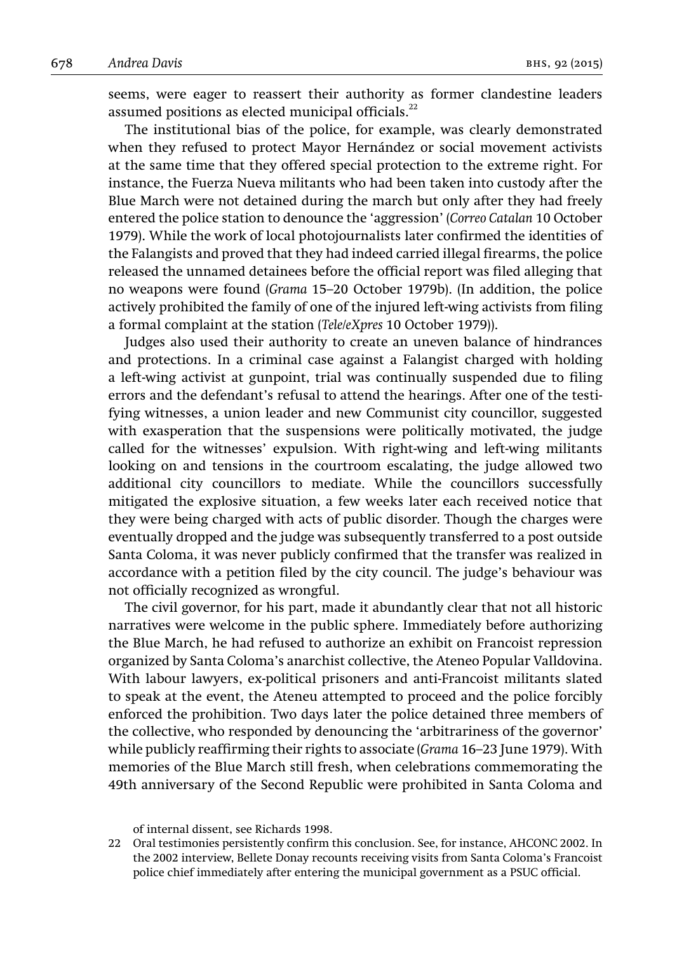seems, were eager to reassert their authority as former clandestine leaders assumed positions as elected municipal officials. $^{22}$ 

The institutional bias of the police, for example, was clearly demonstrated when they refused to protect Mayor Hernández or social movement activists at the same time that they offered special protection to the extreme right. For instance, the Fuerza Nueva militants who had been taken into custody after the Blue March were not detained during the march but only after they had freely entered the police station to denounce the 'aggression' (*Correo Catalan* 10 October 1979). While the work of local photojournalists later confrmed the identities of the Falangists and proved that they had indeed carried illegal frearms, the police released the unnamed detainees before the official report was filed alleging that no weapons were found (*Grama* 15–20 October 1979b). (In addition, the police actively prohibited the family of one of the injured left-wing activists from fling a formal complaint at the station (*Tele/eXpres* 10 October 1979)).

Judges also used their authority to create an uneven balance of hindrances and protections. In a criminal case against a Falangist charged with holding a left-wing activist at gunpoint, trial was continually suspended due to fling errors and the defendant's refusal to attend the hearings. After one of the testifying witnesses, a union leader and new Communist city councillor, suggested with exasperation that the suspensions were politically motivated, the judge called for the witnesses' expulsion. With right-wing and left-wing militants looking on and tensions in the courtroom escalating, the judge allowed two additional city councillors to mediate. While the councillors successfully mitigated the explosive situation, a few weeks later each received notice that they were being charged with acts of public disorder. Though the charges were eventually dropped and the judge was subsequently transferred to a post outside Santa Coloma, it was never publicly confrmed that the transfer was realized in accordance with a petition fled by the city council. The judge's behaviour was not offcially recognized as wrongful.

The civil governor, for his part, made it abundantly clear that not all historic narratives were welcome in the public sphere. Immediately before authorizing the Blue March, he had refused to authorize an exhibit on Francoist repression organized by Santa Coloma's anarchist collective, the Ateneo Popular Valldovina. With labour lawyers, ex-political prisoners and anti-Francoist militants slated to speak at the event, the Ateneu attempted to proceed and the police forcibly enforced the prohibition. Two days later the police detained three members of the collective, who responded by denouncing the 'arbitrariness of the governor' while publicly reaffrming their rights to associate (*Grama* 16–23 June 1979). With memories of the Blue March still fresh, when celebrations commemorating the 49th anniversary of the Second Republic were prohibited in Santa Coloma and

of internal dissent, see Richards 1998.

<sup>22</sup> Oral testimonies persistently confrm this conclusion. See, for instance, AHCONC 2002. In the 2002 interview, Bellete Donay recounts receiving visits from Santa Coloma's Francoist police chief immediately after entering the municipal government as a PSUC offcial.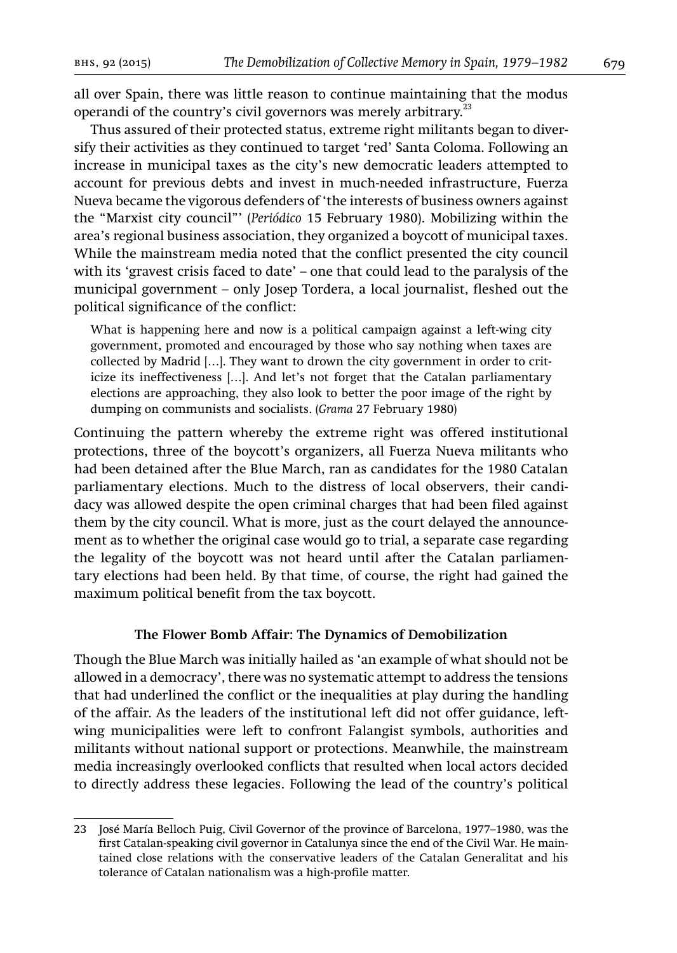all over Spain, there was little reason to continue maintaining that the modus operandi of the country's civil governors was merely arbitrary. $23$ 

Thus assured of their protected status, extreme right militants began to diversify their activities as they continued to target 'red' Santa Coloma. Following an increase in municipal taxes as the city's new democratic leaders attempted to account for previous debts and invest in much-needed infrastructure, Fuerza Nueva became the vigorous defenders of 'the interests of business owners against the "Marxist city council"' (*Periódico* 15 February 1980). Mobilizing within the area's regional business association, they organized a boycott of municipal taxes. While the mainstream media noted that the confict presented the city council with its 'gravest crisis faced to date' – one that could lead to the paralysis of the municipal government – only Josep Tordera, a local journalist, feshed out the political signifcance of the confict:

What is happening here and now is a political campaign against a left-wing city government, promoted and encouraged by those who say nothing when taxes are collected by Madrid […]. They want to drown the city government in order to criticize its ineffectiveness […]. And let's not forget that the Catalan parliamentary elections are approaching, they also look to better the poor image of the right by dumping on communists and socialists. (*Grama* 27 February 1980)

Continuing the pattern whereby the extreme right was offered institutional protections, three of the boycott's organizers, all Fuerza Nueva militants who had been detained after the Blue March, ran as candidates for the 1980 Catalan parliamentary elections. Much to the distress of local observers, their candidacy was allowed despite the open criminal charges that had been fled against them by the city council. What is more, just as the court delayed the announcement as to whether the original case would go to trial, a separate case regarding the legality of the boycott was not heard until after the Catalan parliamentary elections had been held. By that time, of course, the right had gained the maximum political beneft from the tax boycott.

#### **The Flower Bomb Affair: The Dynamics of Demobilization**

Though the Blue March was initially hailed as 'an example of what should not be allowed in a democracy', there was no systematic attempt to address the tensions that had underlined the confict or the inequalities at play during the handling of the affair. As the leaders of the institutional left did not offer guidance, leftwing municipalities were left to confront Falangist symbols, authorities and militants without national support or protections. Meanwhile, the mainstream media increasingly overlooked conficts that resulted when local actors decided to directly address these legacies. Following the lead of the country's political

<sup>23</sup> José María Belloch Puig, Civil Governor of the province of Barcelona, 1977–1980, was the frst Catalan-speaking civil governor in Catalunya since the end of the Civil War. He maintained close relations with the conservative leaders of the Catalan Generalitat and his tolerance of Catalan nationalism was a high-profle matter.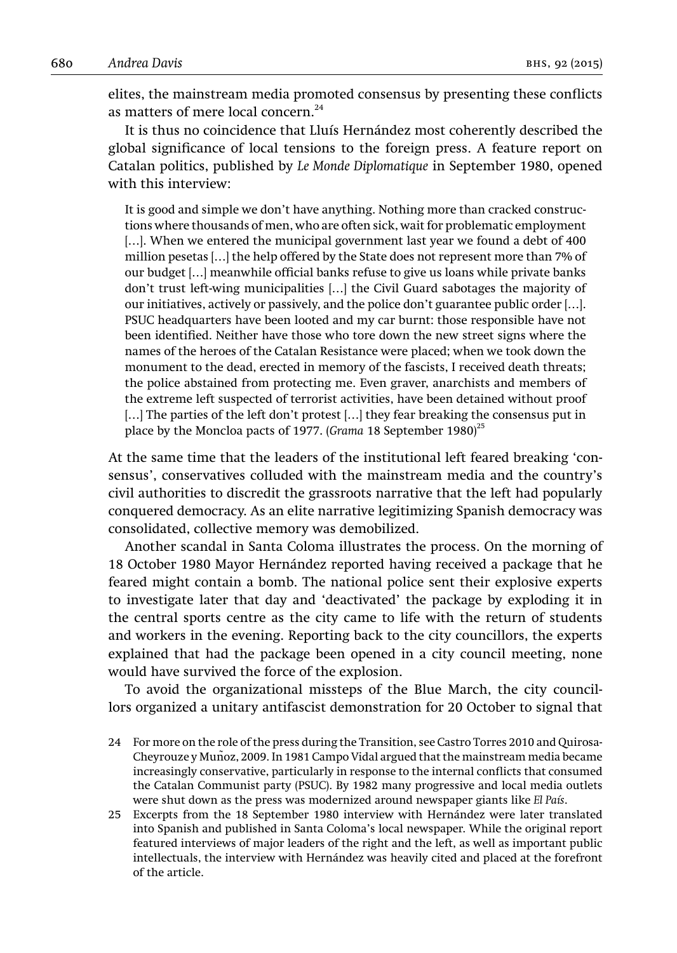elites, the mainstream media promoted consensus by presenting these conficts as matters of mere local concern.<sup>24</sup>

It is thus no coincidence that Lluís Hernández most coherently described the global signifcance of local tensions to the foreign press. A feature report on Catalan politics, published by *Le Monde Diplomatique* in September 1980, opened with this interview:

It is good and simple we don't have anything. Nothing more than cracked constructions where thousands of men, who are often sick, wait for problematic employment [...]. When we entered the municipal government last year we found a debt of 400 million pesetas […] the help offered by the State does not represent more than 7% of our budget […] meanwhile offcial banks refuse to give us loans while private banks don't trust left-wing municipalities […] the Civil Guard sabotages the majority of our initiatives, actively or passively, and the police don't guarantee public order […]. PSUC headquarters have been looted and my car burnt: those responsible have not been identifed. Neither have those who tore down the new street signs where the names of the heroes of the Catalan Resistance were placed; when we took down the monument to the dead, erected in memory of the fascists, I received death threats; the police abstained from protecting me. Even graver, anarchists and members of the extreme left suspected of terrorist activities, have been detained without proof […] The parties of the left don't protest […] they fear breaking the consensus put in place by the Moncloa pacts of 1977. (*Grama* 18 September 1980)<sup>25</sup>

At the same time that the leaders of the institutional left feared breaking 'consensus', conservatives colluded with the mainstream media and the country's civil authorities to discredit the grassroots narrative that the left had popularly conquered democracy. As an elite narrative legitimizing Spanish democracy was consolidated, collective memory was demobilized.

Another scandal in Santa Coloma illustrates the process. On the morning of 18 October 1980 Mayor Hernández reported having received a package that he feared might contain a bomb. The national police sent their explosive experts to investigate later that day and 'deactivated' the package by exploding it in the central sports centre as the city came to life with the return of students and workers in the evening. Reporting back to the city councillors, the experts explained that had the package been opened in a city council meeting, none would have survived the force of the explosion.

To avoid the organizational missteps of the Blue March, the city councillors organized a unitary antifascist demonstration for 20 October to signal that

- 24 For more on the role of the press during the Transition, see Castro Torres 2010 and Quirosa-Cheyrouze y Muñoz, 2009. In 1981 Campo Vidal argued that the mainstream media became increasingly conservative, particularly in response to the internal conficts that consumed the Catalan Communist party (PSUC). By 1982 many progressive and local media outlets were shut down as the press was modernized around newspaper giants like *El País*.
- 25 Excerpts from the 18 September 1980 interview with Hernández were later translated into Spanish and published in Santa Coloma's local newspaper. While the original report featured interviews of major leaders of the right and the left, as well as important public intellectuals, the interview with Hernández was heavily cited and placed at the forefront of the article.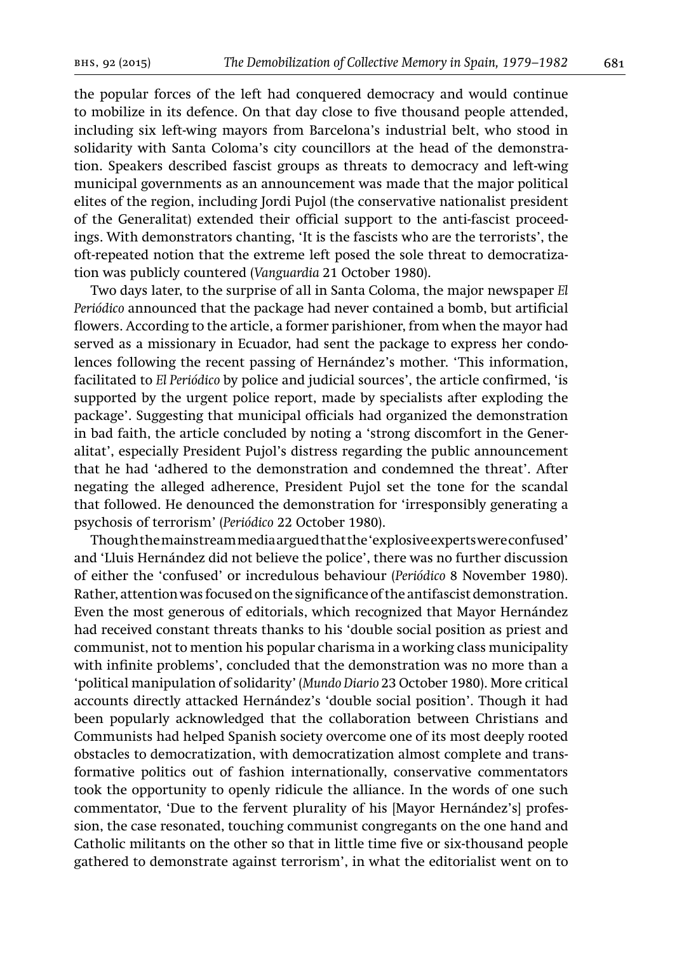the popular forces of the left had conquered democracy and would continue to mobilize in its defence. On that day close to fve thousand people attended, including six left-wing mayors from Barcelona's industrial belt, who stood in solidarity with Santa Coloma's city councillors at the head of the demonstration. Speakers described fascist groups as threats to democracy and left-wing municipal governments as an announcement was made that the major political elites of the region, including Jordi Pujol (the conservative nationalist president of the Generalitat) extended their offcial support to the anti-fascist proceedings. With demonstrators chanting, 'It is the fascists who are the terrorists', the oft-repeated notion that the extreme left posed the sole threat to democratization was publicly countered (*Vanguardia* 21 October 1980).

Two days later, to the surprise of all in Santa Coloma, the major newspaper *El Periódico* announced that the package had never contained a bomb, but artifcial fowers. According to the article, a former parishioner, from when the mayor had served as a missionary in Ecuador, had sent the package to express her condolences following the recent passing of Hernández's mother. 'This information, facilitated to *El Periódico* by police and judicial sources', the article confrmed, 'is supported by the urgent police report, made by specialists after exploding the package'. Suggesting that municipal offcials had organized the demonstration in bad faith, the article concluded by noting a 'strong discomfort in the Generalitat', especially President Pujol's distress regarding the public announcement that he had 'adhered to the demonstration and condemned the threat'. After negating the alleged adherence, President Pujol set the tone for the scandal that followed. He denounced the demonstration for 'irresponsibly generating a psychosis of terrorism' (*Periódico* 22 October 1980).

Though the mainstream media argued that the 'explosive experts were confused' and 'Lluis Hernández did not believe the police', there was no further discussion of either the 'confused' or incredulous behaviour (*Periódico* 8 November 1980). Rather, attention was focused on the signifcance of the antifascist demonstration. Even the most generous of editorials, which recognized that Mayor Hernández had received constant threats thanks to his 'double social position as priest and communist, not to mention his popular charisma in a working class municipality with infnite problems', concluded that the demonstration was no more than a 'political manipulation of solidarity' (*Mundo Diario* 23 October 1980). More critical accounts directly attacked Hernández's 'double social position'. Though it had been popularly acknowledged that the collaboration between Christians and Communists had helped Spanish society overcome one of its most deeply rooted obstacles to democratization, with democratization almost complete and transformative politics out of fashion internationally, conservative commentators took the opportunity to openly ridicule the alliance. In the words of one such commentator, 'Due to the fervent plurality of his [Mayor Hernández's] profession, the case resonated, touching communist congregants on the one hand and Catholic militants on the other so that in little time fve or six-thousand people gathered to demonstrate against terrorism', in what the editorialist went on to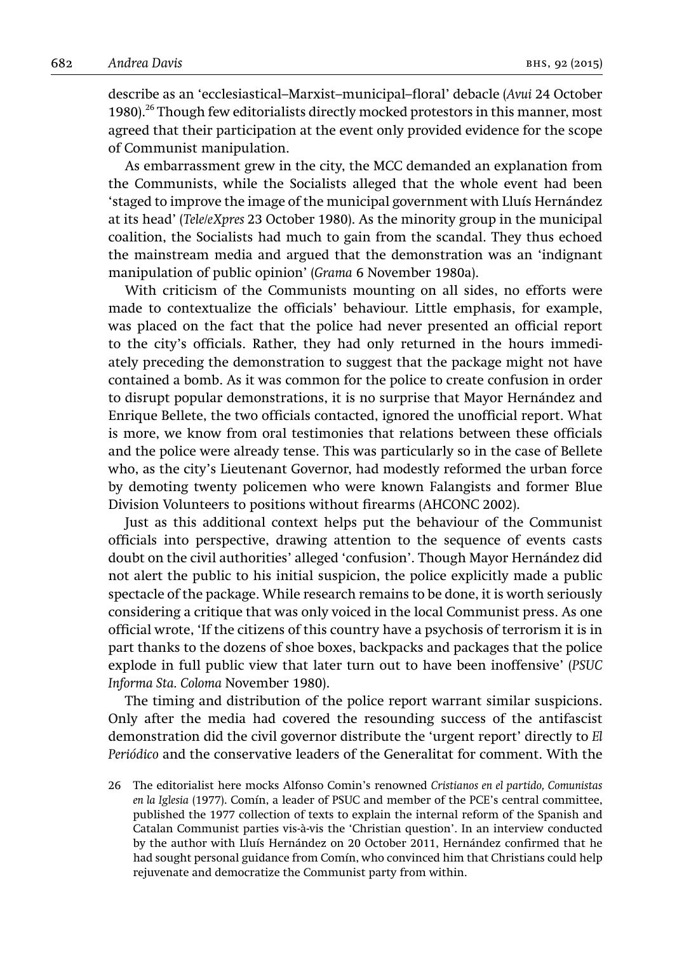describe as an 'ecclesiastical–Marxist–municipal–foral' debacle (*Avui* 24 October 1980).<sup>26</sup> Though few editorialists directly mocked protestors in this manner, most agreed that their participation at the event only provided evidence for the scope of Communist manipulation.

As embarrassment grew in the city, the MCC demanded an explanation from the Communists, while the Socialists alleged that the whole event had been 'staged to improve the image of the municipal government with Lluís Hernández at its head' (*Tele/eXpres* 23 October 1980). As the minority group in the municipal coalition, the Socialists had much to gain from the scandal. They thus echoed the mainstream media and argued that the demonstration was an 'indignant manipulation of public opinion' (*Grama* 6 November 1980a).

With criticism of the Communists mounting on all sides, no efforts were made to contextualize the officials' behaviour. Little emphasis, for example, was placed on the fact that the police had never presented an official report to the city's officials. Rather, they had only returned in the hours immediately preceding the demonstration to suggest that the package might not have contained a bomb. As it was common for the police to create confusion in order to disrupt popular demonstrations, it is no surprise that Mayor Hernández and Enrique Bellete, the two offcials contacted, ignored the unoffcial report. What is more, we know from oral testimonies that relations between these offcials and the police were already tense. This was particularly so in the case of Bellete who, as the city's Lieutenant Governor, had modestly reformed the urban force by demoting twenty policemen who were known Falangists and former Blue Division Volunteers to positions without frearms (AHCONC 2002).

Just as this additional context helps put the behaviour of the Communist offcials into perspective, drawing attention to the sequence of events casts doubt on the civil authorities' alleged 'confusion'. Though Mayor Hernández did not alert the public to his initial suspicion, the police explicitly made a public spectacle of the package. While research remains to be done, it is worth seriously considering a critique that was only voiced in the local Communist press. As one offcial wrote, 'If the citizens of this country have a psychosis of terrorism it is in part thanks to the dozens of shoe boxes, backpacks and packages that the police explode in full public view that later turn out to have been inoffensive' (*PSUC Informa Sta. Coloma* November 1980).

The timing and distribution of the police report warrant similar suspicions. Only after the media had covered the resounding success of the antifascist demonstration did the civil governor distribute the 'urgent report' directly to *El Periódico* and the conservative leaders of the Generalitat for comment. With the

<sup>26</sup> The editorialist here mocks Alfonso Comin's renowned *Cristianos en el partido, Comunistas en la Iglesia* (1977). Comín, a leader of PSUC and member of the PCE's central committee, published the 1977 collection of texts to explain the internal reform of the Spanish and Catalan Communist parties vis-à-vis the 'Christian question'. In an interview conducted by the author with Lluís Hernández on 20 October 2011, Hernández confrmed that he had sought personal guidance from Comín, who convinced him that Christians could help rejuvenate and democratize the Communist party from within.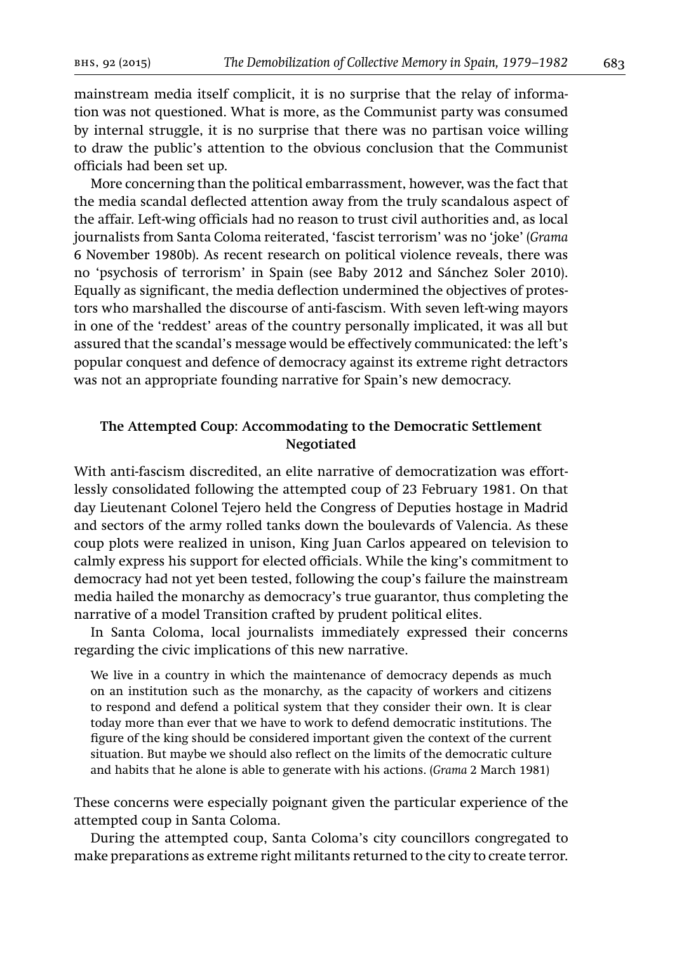mainstream media itself complicit, it is no surprise that the relay of information was not questioned. What is more, as the Communist party was consumed by internal struggle, it is no surprise that there was no partisan voice willing to draw the public's attention to the obvious conclusion that the Communist offcials had been set up.

More concerning than the political embarrassment, however, was the fact that the media scandal defected attention away from the truly scandalous aspect of the affair. Left-wing offcials had no reason to trust civil authorities and, as local journalists from Santa Coloma reiterated, 'fascist terrorism' was no 'joke' (*Grama*  6 November 1980b). As recent research on political violence reveals, there was no 'psychosis of terrorism' in Spain (see Baby 2012 and Sánchez Soler 2010). Equally as signifcant, the media defection undermined the objectives of protestors who marshalled the discourse of anti-fascism. With seven left-wing mayors in one of the 'reddest' areas of the country personally implicated, it was all but assured that the scandal's message would be effectively communicated: the left's popular conquest and defence of democracy against its extreme right detractors was not an appropriate founding narrative for Spain's new democracy.

# **The Attempted Coup: Accommodating to the Democratic Settlement Negotiated**

With anti-fascism discredited, an elite narrative of democratization was effortlessly consolidated following the attempted coup of 23 February 1981. On that day Lieutenant Colonel Tejero held the Congress of Deputies hostage in Madrid and sectors of the army rolled tanks down the boulevards of Valencia. As these coup plots were realized in unison, King Juan Carlos appeared on television to calmly express his support for elected offcials. While the king's commitment to democracy had not yet been tested, following the coup's failure the mainstream media hailed the monarchy as democracy's true guarantor, thus completing the narrative of a model Transition crafted by prudent political elites.

In Santa Coloma, local journalists immediately expressed their concerns regarding the civic implications of this new narrative.

We live in a country in which the maintenance of democracy depends as much on an institution such as the monarchy, as the capacity of workers and citizens to respond and defend a political system that they consider their own. It is clear today more than ever that we have to work to defend democratic institutions. The fgure of the king should be considered important given the context of the current situation. But maybe we should also reflect on the limits of the democratic culture and habits that he alone is able to generate with his actions. (*Grama* 2 March 1981)

These concerns were especially poignant given the particular experience of the attempted coup in Santa Coloma.

During the attempted coup, Santa Coloma's city councillors congregated to make preparations as extreme right militants returned to the city to create terror.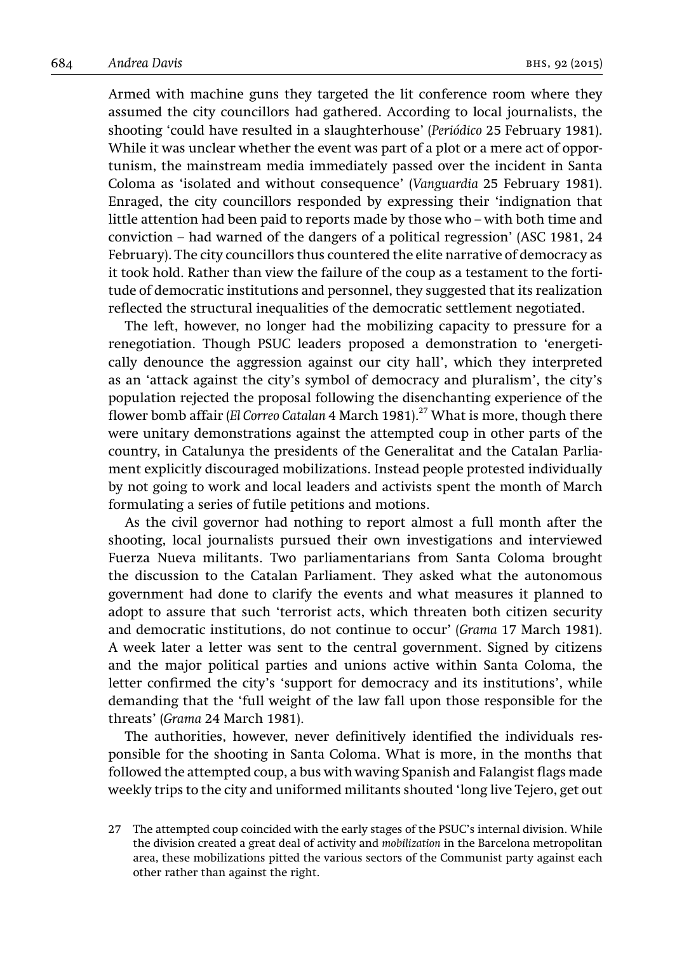Armed with machine guns they targeted the lit conference room where they assumed the city councillors had gathered. According to local journalists, the shooting 'could have resulted in a slaughterhouse' (*Periódico* 25 February 1981). While it was unclear whether the event was part of a plot or a mere act of opportunism, the mainstream media immediately passed over the incident in Santa Coloma as 'isolated and without consequence' (*Vanguardia* 25 February 1981). Enraged, the city councillors responded by expressing their 'indignation that little attention had been paid to reports made by those who – with both time and conviction – had warned of the dangers of a political regression' (ASC 1981, 24 February). The city councillors thus countered the elite narrative of democracy as it took hold. Rather than view the failure of the coup as a testament to the fortitude of democratic institutions and personnel, they suggested that its realization refected the structural inequalities of the democratic settlement negotiated.

The left, however, no longer had the mobilizing capacity to pressure for a renegotiation. Though PSUC leaders proposed a demonstration to 'energetically denounce the aggression against our city hall', which they interpreted as an 'attack against the city's symbol of democracy and pluralism', the city's population rejected the proposal following the disenchanting experience of the flower bomb affair (*El Correo Catalan* 4 March 1981).<sup>27</sup> What is more, though there were unitary demonstrations against the attempted coup in other parts of the country, in Catalunya the presidents of the Generalitat and the Catalan Parliament explicitly discouraged mobilizations. Instead people protested individually by not going to work and local leaders and activists spent the month of March formulating a series of futile petitions and motions.

As the civil governor had nothing to report almost a full month after the shooting, local journalists pursued their own investigations and interviewed Fuerza Nueva militants. Two parliamentarians from Santa Coloma brought the discussion to the Catalan Parliament. They asked what the autonomous government had done to clarify the events and what measures it planned to adopt to assure that such 'terrorist acts, which threaten both citizen security and democratic institutions, do not continue to occur' (*Grama* 17 March 1981). A week later a letter was sent to the central government. Signed by citizens and the major political parties and unions active within Santa Coloma, the letter confrmed the city's 'support for democracy and its institutions', while demanding that the 'full weight of the law fall upon those responsible for the threats' (*Grama* 24 March 1981).

The authorities, however, never definitively identified the individuals responsible for the shooting in Santa Coloma. What is more, in the months that followed the attempted coup, a bus with waving Spanish and Falangist fags made weekly trips to the city and uniformed militants shouted 'long live Tejero, get out

<sup>27</sup> The attempted coup coincided with the early stages of the PSUC's internal division. While the division created a great deal of activity and *mobilization* in the Barcelona metropolitan area, these mobilizations pitted the various sectors of the Communist party against each other rather than against the right.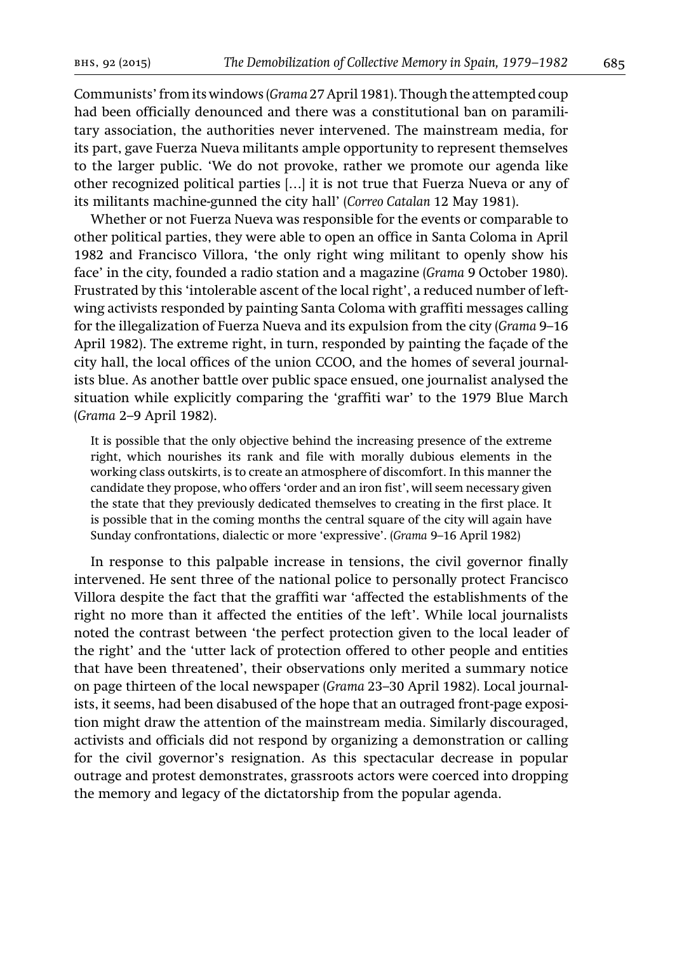Communists' from its windows (*Grama* 27 April 1981). Though the attempted coup had been offcially denounced and there was a constitutional ban on paramilitary association, the authorities never intervened. The mainstream media, for its part, gave Fuerza Nueva militants ample opportunity to represent themselves to the larger public. 'We do not provoke, rather we promote our agenda like other recognized political parties […] it is not true that Fuerza Nueva or any of its militants machine-gunned the city hall' (*Correo Catalan* 12 May 1981).

Whether or not Fuerza Nueva was responsible for the events or comparable to other political parties, they were able to open an offce in Santa Coloma in April 1982 and Francisco Villora, 'the only right wing militant to openly show his face' in the city, founded a radio station and a magazine (*Grama* 9 October 1980). Frustrated by this 'intolerable ascent of the local right', a reduced number of leftwing activists responded by painting Santa Coloma with graffti messages calling for the illegalization of Fuerza Nueva and its expulsion from the city (*Grama* 9–16 April 1982). The extreme right, in turn, responded by painting the façade of the city hall, the local offices of the union CCOO, and the homes of several journalists blue. As another battle over public space ensued, one journalist analysed the situation while explicitly comparing the 'graffti war' to the 1979 Blue March (*Grama* 2–9 April 1982).

It is possible that the only objective behind the increasing presence of the extreme right, which nourishes its rank and fle with morally dubious elements in the working class outskirts, is to create an atmosphere of discomfort. In this manner the candidate they propose, who offers 'order and an iron fst', will seem necessary given the state that they previously dedicated themselves to creating in the frst place. It is possible that in the coming months the central square of the city will again have Sunday confrontations, dialectic or more 'expressive'. (*Grama* 9–16 April 1982)

In response to this palpable increase in tensions, the civil governor fnally intervened. He sent three of the national police to personally protect Francisco Villora despite the fact that the graffti war 'affected the establishments of the right no more than it affected the entities of the left'. While local journalists noted the contrast between 'the perfect protection given to the local leader of the right' and the 'utter lack of protection offered to other people and entities that have been threatened', their observations only merited a summary notice on page thirteen of the local newspaper (*Grama* 23–30 April 1982). Local journalists, it seems, had been disabused of the hope that an outraged front-page exposition might draw the attention of the mainstream media. Similarly discouraged, activists and officials did not respond by organizing a demonstration or calling for the civil governor's resignation. As this spectacular decrease in popular outrage and protest demonstrates, grassroots actors were coerced into dropping the memory and legacy of the dictatorship from the popular agenda.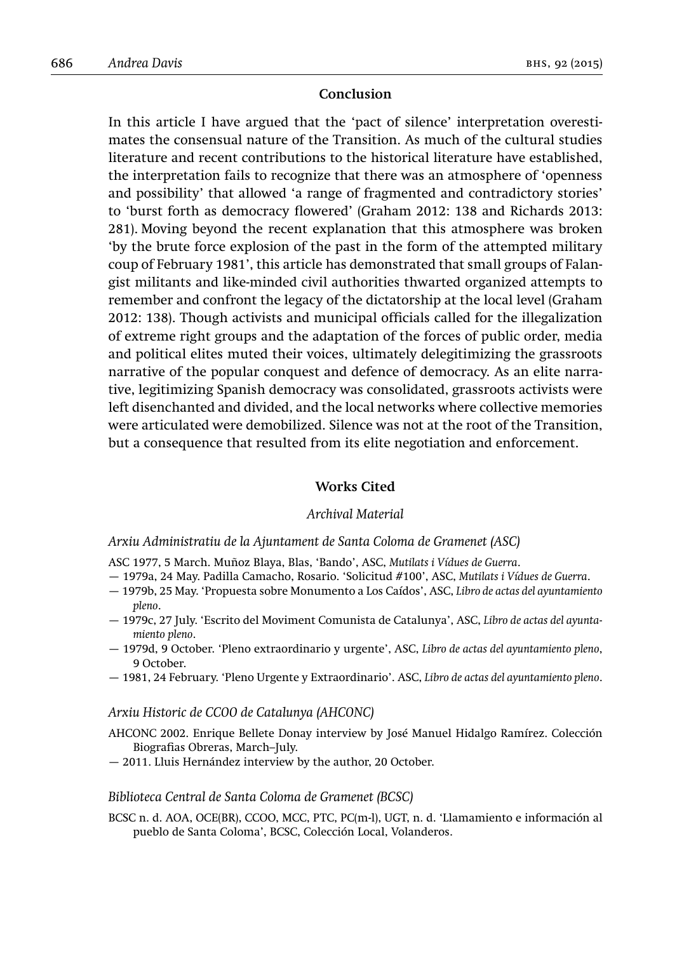## **Conclusion**

In this article I have argued that the 'pact of silence' interpretation overestimates the consensual nature of the Transition. As much of the cultural studies literature and recent contributions to the historical literature have established, the interpretation fails to recognize that there was an atmosphere of 'openness and possibility' that allowed 'a range of fragmented and contradictory stories' to 'burst forth as democracy fowered' (Graham 2012: 138 and Richards 2013: 281). Moving beyond the recent explanation that this atmosphere was broken 'by the brute force explosion of the past in the form of the attempted military coup of February 1981', this article has demonstrated that small groups of Falangist militants and like-minded civil authorities thwarted organized attempts to remember and confront the legacy of the dictatorship at the local level (Graham 2012: 138). Though activists and municipal offcials called for the illegalization of extreme right groups and the adaptation of the forces of public order, media and political elites muted their voices, ultimately delegitimizing the grassroots narrative of the popular conquest and defence of democracy. As an elite narrative, legitimizing Spanish democracy was consolidated, grassroots activists were left disenchanted and divided, and the local networks where collective memories were articulated were demobilized. Silence was not at the root of the Transition, but a consequence that resulted from its elite negotiation and enforcement.

#### **Works Cited**

# *Archival Material*

#### *Arxiu Administratiu de la Ajuntament de Santa Coloma de Gramenet (ASC)*

ASC 1977, 5 March. Muñoz Blaya, Blas, 'Bando', ASC, *Mutilats i Vídues de Guerra*.

- 1979a, 24 May. Padilla Camacho, Rosario. 'Solicitud #100', ASC, *Mutilats i Vídues de Guerra*.
- 1979b, 25 May. 'Propuesta sobre Monumento a Los Caídos', ASC, *Libro de actas del ayuntamiento pleno*.
- 1979c, 27 July. 'Escrito del Moviment Comunista de Catalunya', ASC, *Libro de actas del ayuntamiento pleno*.
- 1979d, 9 October. 'Pleno extraordinario y urgente', ASC, *Libro de actas del ayuntamiento pleno*, 9 October.
- 1981, 24 February. 'Pleno Urgente y Extraordinario'. ASC, *Libro de actas del ayuntamiento pleno*.

#### *Arxiu Historic de CCOO de Catalunya (AHCONC)*

- AHCONC 2002. Enrique Bellete Donay interview by José Manuel Hidalgo Ramírez. Colección Biografas Obreras, March–July.
- 2011. Lluis Hernández interview by the author, 20 October.

#### *Biblioteca Central de Santa Coloma de Gramenet (BCSC)*

BCSC n. d. AOA, OCE(BR), CCOO, MCC, PTC, PC(m-l), UGT, n. d. 'Llamamiento e información al pueblo de Santa Coloma', BCSC, Colección Local, Volanderos.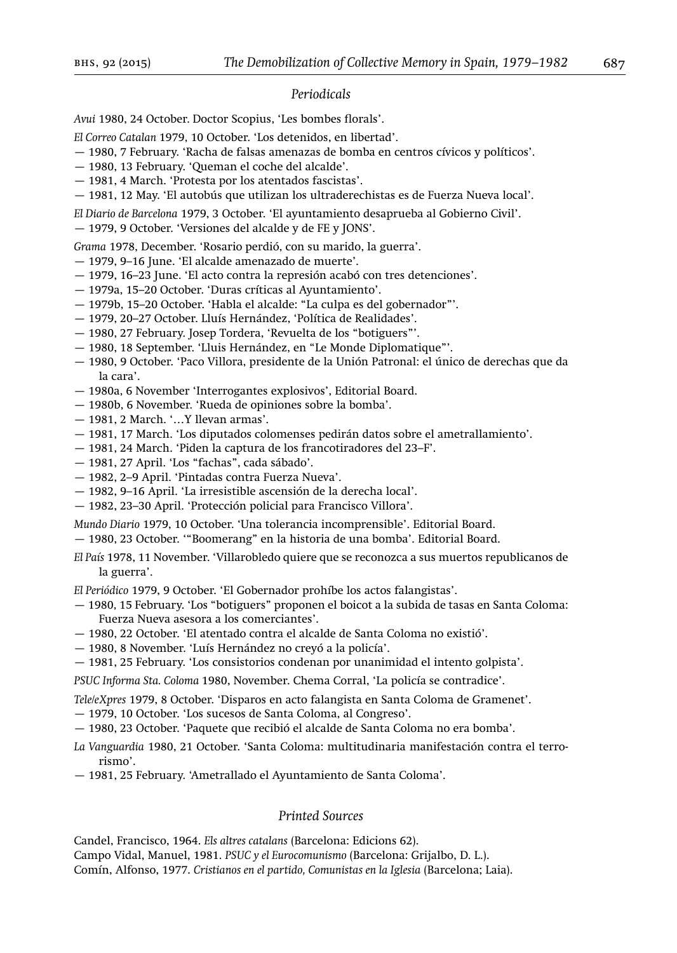#### *Periodicals*

*Avui* 1980, 24 October. Doctor Scopius, 'Les bombes forals'.

*El Correo Catalan* 1979, 10 October. 'Los detenidos, en libertad'.

- 1980, 7 February. 'Racha de falsas amenazas de bomba en centros cívicos y políticos'.
- 1980, 13 February. 'Queman el coche del alcalde'.
- 1981, 4 March. 'Protesta por los atentados fascistas'.
- 1981, 12 May. 'El autobús que utilizan los ultraderechistas es de Fuerza Nueva local'.
- *El Diario de Barcelona* 1979, 3 October. 'El ayuntamiento desaprueba al Gobierno Civil'.
- 1979, 9 October. 'Versiones del alcalde y de FE y JONS'.

*Grama* 1978, December. 'Rosario perdió, con su marido, la guerra'.

- 1979, 9–16 June. 'El alcalde amenazado de muerte'.
- 1979, 16–23 June. 'El acto contra la represión acabó con tres detenciones'.
- 1979a, 15–20 October. 'Duras críticas al Ayuntamiento'.
- 1979b, 15–20 October. 'Habla el alcalde: "La culpa es del gobernador"'.
- 1979, 20–27 October. Lluís Hernández, 'Política de Realidades'.
- 1980, 27 February. Josep Tordera, 'Revuelta de los "botiguers"'.
- 1980, 18 September. 'Lluis Hernández, en "Le Monde Diplomatique"'.
- 1980, 9 October. 'Paco Villora, presidente de la Unión Patronal: el único de derechas que da la cara'.
- 1980a, 6 November 'Interrogantes explosivos', Editorial Board.
- 1980b, 6 November. 'Rueda de opiniones sobre la bomba'.
- 1981, 2 March. '…Y llevan armas'.
- 1981, 17 March. 'Los diputados colomenses pedirán datos sobre el ametrallamiento'.
- 1981, 24 March. 'Piden la captura de los francotiradores del 23–F'.
- 1981, 27 April. 'Los "fachas", cada sábado'.
- 1982, 2–9 April. 'Pintadas contra Fuerza Nueva'.
- 1982, 9–16 April. 'La irresistible ascensión de la derecha local'.
- 1982, 23–30 April. 'Protección policial para Francisco Villora'.

*Mundo Diario* 1979, 10 October. 'Una tolerancia incomprensible'. Editorial Board.

- 1980, 23 October. '"Boomerang" en la historia de una bomba'. Editorial Board.
- *El País* 1978, 11 November. 'Villarobledo quiere que se reconozca a sus muertos republicanos de la guerra'.
- *El Periódico* 1979, 9 October. 'El Gobernador prohíbe los actos falangistas'.
- 1980, 15 February. 'Los "botiguers" proponen el boicot a la subida de tasas en Santa Coloma: Fuerza Nueva asesora a los comerciantes'.
- 1980, 22 October. 'El atentado contra el alcalde de Santa Coloma no existió'.
- 1980, 8 November. 'Luís Hernández no creyó a la policía'.
- 1981, 25 February. 'Los consistorios condenan por unanimidad el intento golpista'.

*PSUC Informa Sta. Coloma* 1980, November. Chema Corral, 'La policía se contradice'.

*Tele/eXpres* 1979, 8 October. 'Disparos en acto falangista en Santa Coloma de Gramenet'.

- 1979, 10 October. 'Los sucesos de Santa Coloma, al Congreso'.
- 1980, 23 October. 'Paquete que recibió el alcalde de Santa Coloma no era bomba'.
- *La Vanguardia* 1980, 21 October. 'Santa Coloma: multitudinaria manifestación contra el terrorismo'.
- 1981, 25 February. 'Ametrallado el Ayuntamiento de Santa Coloma'.

### *Printed Sources*

Candel, Francisco, 1964. *Els altres catalans* (Barcelona: Edicions 62). Campo Vidal, Manuel, 1981. *PSUC y el Eurocomunismo* (Barcelona: Grijalbo, D. L.). Comín, Alfonso, 1977. *Cristianos en el partido, Comunistas en la Iglesia* (Barcelona; Laia).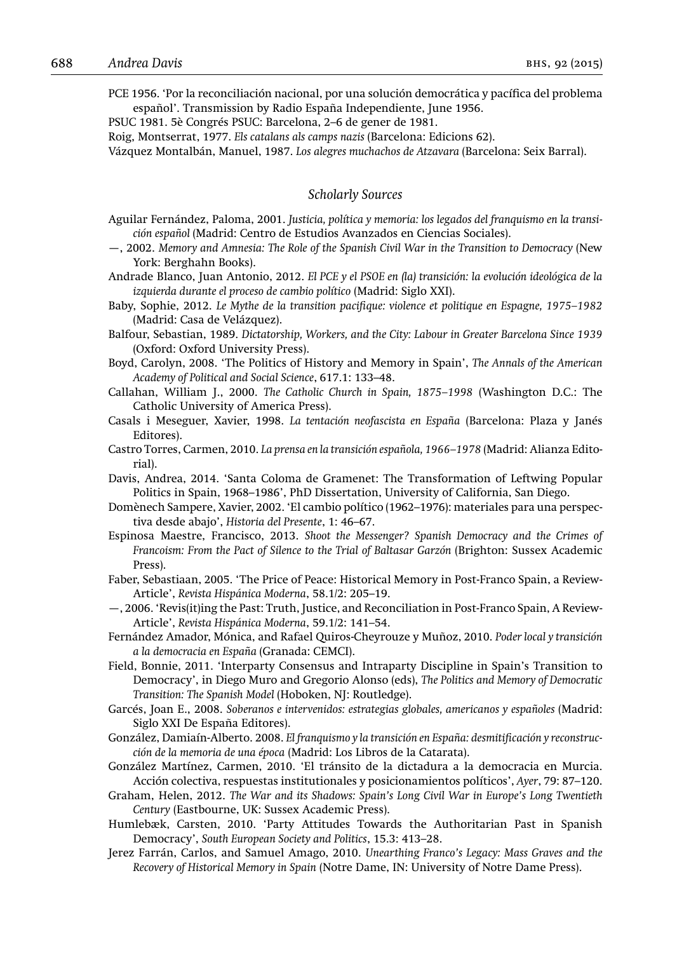PCE 1956. 'Por la reconciliación nacional, por una solución democrática y pacífca del problema español'. Transmission by Radio España Independiente, June 1956.

PSUC 1981. 5è Congrés PSUC: Barcelona, 2–6 de gener de 1981.

Roig, Montserrat, 1977. *Els catalans als camps nazis* (Barcelona: Edicions 62).

Vázquez Montalbán, Manuel, 1987. *Los alegres muchachos de Atzavara* (Barcelona: Seix Barral).

#### *Scholarly Sources*

- Aguilar Fernández, Paloma, 2001. *Justicia, política y memoria: los legados del franquismo en la transición español* (Madrid: Centro de Estudios Avanzados en Ciencias Sociales).
- —, 2002. *Memory and Amnesia: The Role of the Spanish Civil War in the Transition to Democracy* (New York: Berghahn Books).
- Andrade Blanco, Juan Antonio, 2012. *El PCE y el PSOE en (la) transición: la evolución ideológica de la izquierda durante el proceso de cambio político* (Madrid: Siglo XXI).
- Baby, Sophie, 2012. *Le Mythe de la transition pacifque: violence et politique en Espagne, 1975–1982*  (Madrid: Casa de Velázquez).
- Balfour, Sebastian, 1989. *Dictatorship, Workers, and the City: Labour in Greater Barcelona Since 1939* (Oxford: Oxford University Press).
- Boyd, Carolyn, 2008. 'The Politics of History and Memory in Spain', *The Annals of the American Academy of Political and Social Science*, 617.1: 133–48.
- Callahan, William J., 2000. *The Catholic Church in Spain, 1875–1998* (Washington D.C.: The Catholic University of America Press).
- Casals i Meseguer, Xavier, 1998. *La tentación neofascista en España* (Barcelona: Plaza y Janés Editores).
- Castro Torres, Carmen, 2010. *La prensa en la transicion espanola, 1966–1978* (Madrid: Alianza Editorial).
- Davis, Andrea, 2014. 'Santa Coloma de Gramenet: The Transformation of Leftwing Popular Politics in Spain, 1968–1986', PhD Dissertation, University of California, San Diego.
- Domènech Sampere, Xavier, 2002. 'El cambio político (1962–1976): materiales para una perspectiva desde abajo', *Historia del Presente*, 1: 46–67.
- Espinosa Maestre, Francisco, 2013. *Shoot the Messenger? Spanish Democracy and the Crimes of Francoism: From the Pact of Silence to the Trial of Baltasar Garzón (Brighton: Sussex Academic* Press).
- Faber, Sebastiaan, 2005. 'The Price of Peace: Historical Memory in Post-Franco Spain, a Review-Article', *Revista Hispánica Moderna*, 58.1/2: 205–19.
- —, 2006. 'Revis(it)ing the Past: Truth, Justice, and Reconciliation in Post-Franco Spain, A Review-Article', *Revista Hispánica Moderna*, 59.1/2: 141–54.
- Fernández Amador, Mónica, and Rafael Quiros-Cheyrouze y Muñoz, 2010. *Poder local y transición a la democracia en España* (Granada: CEMCI).
- Field, Bonnie, 2011. 'Interparty Consensus and Intraparty Discipline in Spain's Transition to Democracy', in Diego Muro and Gregorio Alonso (eds), *The Politics and Memory of Democratic Transition: The Spanish Model* (Hoboken, NJ: Routledge).
- Garcés, Joan E., 2008. *Soberanos e intervenidos: estrategias globales, americanos y españoles* (Madrid: Siglo XXI De España Editores).
- González, Damiaín-Alberto. 2008. *El franquismo y la transicion en Espana: desmitifcacion y reconstrucción de la memoria de una época* (Madrid: Los Libros de la Catarata).
- González Martínez, Carmen, 2010. 'El tránsito de la dictadura a la democracia en Murcia. Acción colectiva, respuestas institutionales y posicionamientos políticos', *Ayer*, 79: 87–120.
- Graham, Helen, 2012. *The War and its Shadows: Spain's Long Civil War in Europe's Long Twentieth Century* (Eastbourne, UK: Sussex Academic Press).
- Humlebæk, Carsten, 2010. 'Party Attitudes Towards the Authoritarian Past in Spanish Democracy', *South European Society and Politics*, 15.3: 413–28.
- Jerez Farrán, Carlos, and Samuel Amago, 2010. *Unearthing Franco's Legacy: Mass Graves and the Recovery of Historical Memory in Spain* (Notre Dame, IN: University of Notre Dame Press).